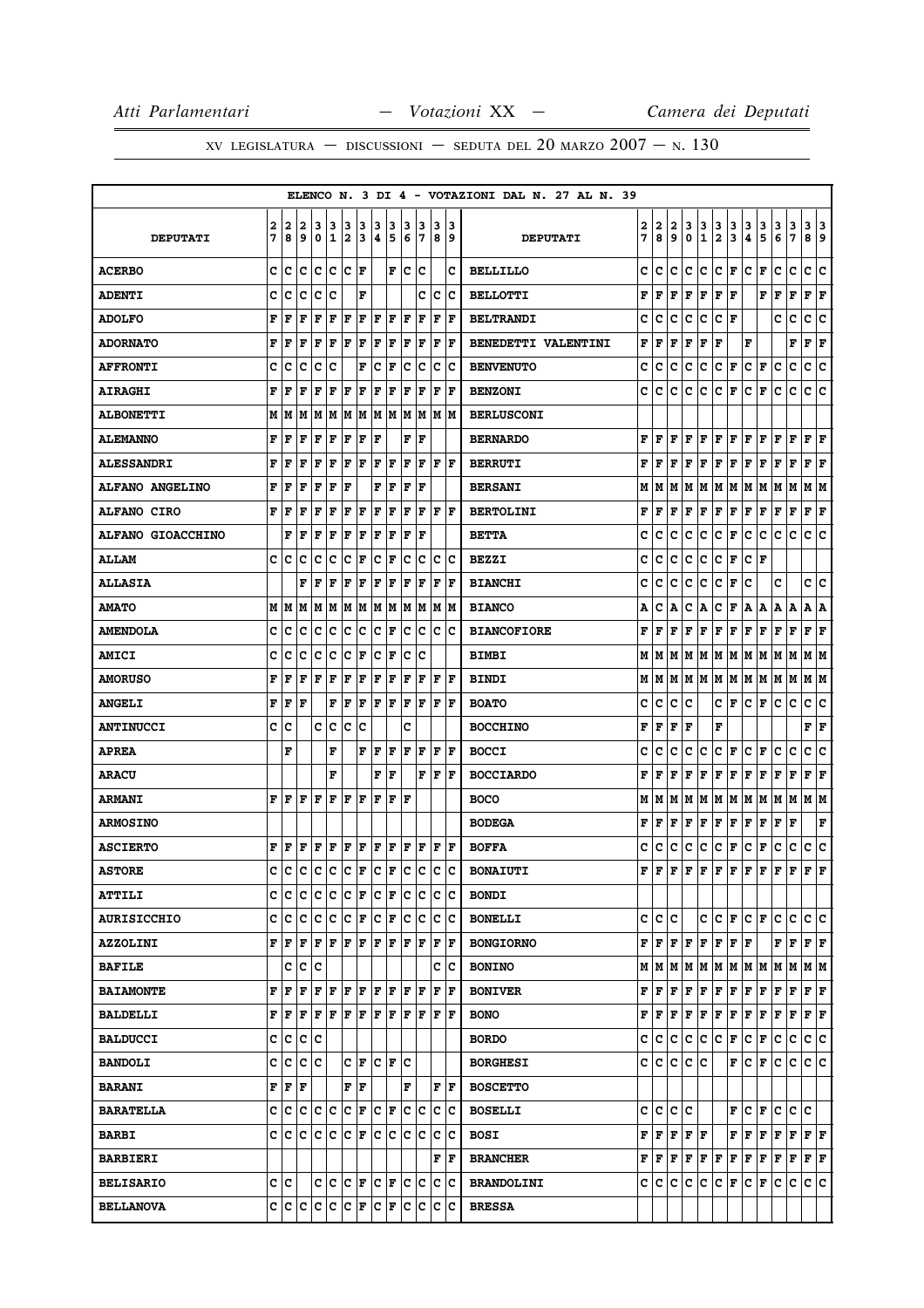# XV LEGISLATURA — DISCUSSIONI — SEDUTA DEL 20 MARZO  $2007 - N. 130$

|                          |   |      |     |             |             |                      |     |   |                      |     |     |             |     | ELENCO N. 3 DI 4 - VOTAZIONI DAL N. 27 AL N. 39 |   |           |     |              |     |              |                      |                      |   |     |                 |                           |     |
|--------------------------|---|------|-----|-------------|-------------|----------------------|-----|---|----------------------|-----|-----|-------------|-----|-------------------------------------------------|---|-----------|-----|--------------|-----|--------------|----------------------|----------------------|---|-----|-----------------|---------------------------|-----|
|                          | 2 | 2    | 2   | з           | 3           | 3                    | 3   | 3 | 3                    | 3   | 3   | 3           | 13  |                                                 | 2 | 2         | 2   | 3            | з   | 3            | 3                    | 3                    | 3 | 3   | 3               | 3                         | 3   |
| <b>DEPUTATI</b>          | 7 | 8    | 9   | $\mathbf 0$ | $\mathbf 1$ | 2                    | 3   | 4 | 5                    | 6   | 7   | 8           | و   | <b>DEPUTATI</b>                                 | 7 | 8         | 9   | 0            | 1   | $\mathbf{2}$ | 3                    | 4                    | 5 | 6   | 7               | 8                         | و   |
| <b>ACERBO</b>            | C | C    | c   | C           | lc.         | lc.                  | l F |   | F                    | lc. | c   |             | c   | <b>BELLILLO</b>                                 | c | c         | c   | с            | c   | c            | F                    | c                    | F | c   | c               | c                         | ١c  |
| <b>ADENTI</b>            | c | c    | c   | c           | c           |                      | F   |   |                      |     | c   | c           | Ιc  | <b>BELLOTTI</b>                                 | F | F         | F   | F            | F   | F            | F                    |                      | F | F   | F               | F                         | F   |
| <b>ADOLFO</b>            | F | F    | F   | F           | F           | ΙF                   | l F | F | F                    | F   | F   | F           | l F | <b>BELTRANDI</b>                                | c | c         | C   | c            | c   | c            | F                    |                      |   | c   | c               | c                         | c   |
| <b>ADORNATO</b>          | F | F    | F   | F           | F           | F                    | F   | F | F                    | F   | F   | F           | F   | BENEDETTI VALENTINI                             | F | F         | F   | F            | F   | F            |                      | F                    |   |     | F               | Г                         | F   |
| <b>AFFRONTI</b>          | c | c    | c   | c           | C           |                      | F   | c | F                    | c   | c   | c           | c   | <b>BENVENUTO</b>                                | c | c         | c   | c            | с   | с            | F                    | с                    | F | c   | c               | c                         | c   |
| <b>AIRAGHI</b>           | F | F    | F   | F           | $\mathbf F$ | F                    | F   | F | F                    | F   | F   | $\mathbf F$ | F   | <b>BENZONI</b>                                  | c | с         | c   | c            | c   | c            | F                    | c                    | F | c   | c               | c                         | lc. |
| <b>ALBONETTI</b>         | M | М    | М   | M           | M           | M                    | M   | M | M                    | M   | M   | M           | M   | <b>BERLUSCONI</b>                               |   |           |     |              |     |              |                      |                      |   |     |                 |                           |     |
| <b>ALEMANNO</b>          | F | F    | F   | F           | F           | ΙF                   | F   | F |                      | F   | F   |             |     | <b>BERNARDO</b>                                 | F | F         | F   | F            | ΙF  | F            | F                    | F                    | F | F   | F               | F                         | F   |
| <b>ALESSANDRI</b>        | F | F    | F   | F           | F           | ΙF                   | ΙF  | F | F                    | l F | F   | ΙF          | l F | <b>BERRUTI</b>                                  | F | F         | F   | F            | F   | $\mathbf F$  | F                    | F                    | F | F   | F               | ${\bf F} \,   \, {\bf F}$ |     |
| <b>ALFANO ANGELINO</b>   | F | F    | F   | F           | F           | F                    |     | F | F                    | F   | F   |             |     | <b>BERSANI</b>                                  | М | М         | M   | м            | M   | М            | M                    | М                    | M | M   | M               | M                         | M   |
| <b>ALFANO CIRO</b>       | F | F    | F   | F           | $\mathbf F$ | F                    | F   | F | F                    | F   | F   | F           | F   | <b>BERTOLINI</b>                                | F | F         | F   | F            | F   | F            | F                    | F                    | F | F   | F               | F F                       |     |
| <b>ALFANO GIOACCHINO</b> |   | F    | F   | F           | F           | F                    | F   | F | F                    | F   | F   |             |     | <b>BETTA</b>                                    | c | c         | c   | c            | с   | с            | F                    | с                    | c | с   | с               | с                         | Ιc  |
| <b>ALLAM</b>             | c | c    | c   | c           | c           | c                    | F   | c | F                    | c   | c   | c           | Ιc  | <b>BEZZI</b>                                    | c | c         | с   | c            | с   | c            | F                    | с                    | F |     |                 |                           |     |
| <b>ALLASIA</b>           |   |      | F   | F           | F           | F                    | F   | F | F                    | F   | F   | F           | F   | <b>BIANCHI</b>                                  | c | c         | c   | c            | с   | c            | F                    | c                    |   | c   |                 | c                         | ١c  |
| <b>AMATO</b>             | M | M    | M   | M           | M           | M                    | M   | M | M                    | M   | M   | M           | lМ  | <b>BIANCO</b>                                   | Α | c         | Α   | c            | Α   | c            | F                    | Α                    | A | Α   | ١A              | А                         | ١A  |
| <b>AMENDOLA</b>          | c | с    | c   | c           | c           | c                    | ∣c  | c | F                    | c   | c   | c           | Ιc  | <b>BIANCOFIORE</b>                              | F | F         | F   | F            | F   | F            | F                    | F                    | F | F   | F               | F                         | F   |
| <b>AMICI</b>             | c | c    | c   | c           | c           | c                    | F   | c | F                    | c   | c   |             |     | <b>BIMBI</b>                                    | М | м         | M   | м            | lМ  | M            | M                    | M                    | M | M   | M               | M  M                      |     |
| <b>AMORUSO</b>           | F | F    | F   | F           | F           | F                    | F   | F | F                    | l F | F   | l F         | F   | <b>BINDI</b>                                    | М | М         | M   |              | M M | M   M        |                      | M M                  |   | M M |                 | M  M                      |     |
| <b>ANGELI</b>            | F | F    | F   |             | F           | ΙF                   | F   | F | F                    | F   | F   | l F         | l F | <b>BOATO</b>                                    | c | c         | с   | c            |     | с            | F                    | c                    | F | c   | c               | c                         | с   |
| <b>ANTINUCCI</b>         | c | c    |     | c           | c           | c                    | C   |   |                      | c   |     |             |     | <b>BOCCHINO</b>                                 | F | F         | F   | F            |     | F            |                      |                      |   |     |                 | F                         | F   |
| <b>APREA</b>             |   | F    |     |             | F           |                      | F   | F | F                    | F   | F   | F           | F   | <b>BOCCI</b>                                    | C | c         | c   | c            | c   | c            | F                    | c                    | F | с   | C               | c                         | C   |
| <b>ARACU</b>             |   |      |     |             | F           |                      |     | F | F                    |     | F   | l F         | l F | <b>BOCCIARDO</b>                                | F | F         | F   | F            | F   | F            | F                    | F                    | F | F   | F               | F                         | F   |
| <b>ARMANI</b>            | F | F    | F   | lF.         | l F         | F                    | l F | F | F                    | ΙF  |     |             |     | <b>BOCO</b>                                     | М | м         | lМ  | M            | M   | M            | M                    | M M                  |   | M M |                 | M  M                      |     |
| <b>ARMOSINO</b>          |   |      |     |             |             |                      |     |   |                      |     |     |             |     | <b>BODEGA</b>                                   | F | F         | F   | $\mathbf{F}$ | F   | $\mathbf F$  | F                    | F                    | F | F   | F               |                           | F   |
| <b>ASCIERTO</b>          | F | F    | F   | F           | F           | F                    | F   | F | F                    | F   | F   | F           | lF. | <b>BOFFA</b>                                    | c | c         | с   | с            | с   | c            | F                    | с                    | Г | с   | c               | c                         | c   |
| <b>ASTORE</b>            | C | c    | c   | c           | c           | c                    | F   | c | F                    | Ιc  | c   | lc          | c   | <b>BONAIUTI</b>                                 | F | l F       | F   | F            | F   | F            | F                    | F                    | F | F   | F               | F                         | l F |
| <b>ATTILI</b>            | c | c    | c   | c           | ∣c          | lc.                  | F   | c | F                    | c   | c   | c           | c   | <b>BONDI</b>                                    |   |           |     |              |     |              |                      |                      |   |     |                 |                           |     |
| <b>AURISICCHIO</b>       | C | с    | lc. | c           | c           | c                    | F   | c | F                    | lc. | c   | lc.         | Ιc  | <b>BONELLI</b>                                  | c | lc.       | c   |              | c   | lc.          | F                    | $ {\bf C}  {\bf F} $ |   | с   | c               | c c                       |     |
| <b>AZZOLINI</b>          | F | F    | l F | F           | l F         | F                    | ΙF  | F | lF                   | F   | F   | F           | lF  | <b>BONGIORNO</b>                                | F | F         | F   | F            | F   | F            | $ {\bf F}  {\bf F} $ |                      |   | F   | F               | $F$ $\bf{F}$              |     |
| <b>BAFILE</b>            |   | c    | c   | Ιc          |             |                      |     |   |                      |     |     | c           | Ιc  | <b>BONINO</b>                                   | М | M   M   M |     |              | M   |              |                      |                      |   |     | м м м м м м м м |                           |     |
| <b>BAIAMONTE</b>         | F | F    | l F | F           | F           | F                    | F   | F | F                    | l F | F   | F           | F   | <b>BONIVER</b>                                  | F | F         | F   | F            | F   | F            | F                    | F                    | F | F   | F               | $ {\bf F}  {\bf F} $      |     |
| <b>BALDELLI</b>          | F | F    | F   | F           | F           | F                    | F   | F | F                    | F   | F   | F           | ١F  | <b>BONO</b>                                     | F | F         | F   | F            | F   | F            | F                    | F F                  |   | F F |                 | $ {\bf F}  {\bf F} $      |     |
| <b>BALDUCCI</b>          | c | c    | c   | c           |             |                      |     |   |                      |     |     |             |     | <b>BORDO</b>                                    | c | с         | с   | c            | IC. | c            | F                    | c                    | F | c   | c               | c c                       |     |
| <b>BANDOLI</b>           | c | c    | ∣c  | lc          |             |                      | C F |   | $ {\bf C}  {\bf F} $ | lc  |     |             |     | <b>BORGHESI</b>                                 |   | c c       | c.  | lc.          | lc. |              | F                    | ∣c∙                  | F | lc. | c               | c c                       |     |
| <b>BARANI</b>            | F | F    | F   |             |             | F                    | F   |   |                      | F   |     | F           | ١F  | <b>BOSCETTO</b>                                 |   |           |     |              |     |              |                      |                      |   |     |                 |                           |     |
| <b>BARATELLA</b>         | c | c    | Iс  | с           | Iс          | c                    | F   | c | lF                   | c   | c   | c           | Ιc  | <b>BOSELLI</b>                                  | c | lc.       | lc. | ١c           |     |              | F                    | c                    | F | c   | lc.             | lc.                       |     |
| <b>BARBI</b>             | c | Iс   | lc. | Iс          | c           | c                    | F   | c | c                    | lc. | lc. | c           | Ιc  | <b>BOSI</b>                                     | F | F F F F   |     |              |     |              | F                    | F                    | F | F   | F F F           |                           |     |
| <b>BARBIERI</b>          |   |      |     |             |             |                      |     |   |                      |     |     | F           | lF. | <b>BRANCHER</b>                                 | F | F         | F   | F            | F   | F            | F                    | F                    | F | F   | F               | F F                       |     |
| <b>BELISARIO</b>         |   | c  c |     | c c         |             | $ {\bf C}  {\bf F} $ |     |   | $ {\bf C}  {\bf F} $ | lc. | c   |             | c c | <b>BRANDOLINI</b>                               | c | C.        | IС  | с            | IС  | с            | F                    | C                    | F | c   | c               | c c                       |     |
| <b>BELLANOVA</b>         | c | c    | c   | c           | ∣c          | c                    | F   | c | F                    | c   | c   | c           | Ιc  | <b>BRESSA</b>                                   |   |           |     |              |     |              |                      |                      |   |     |                 |                           |     |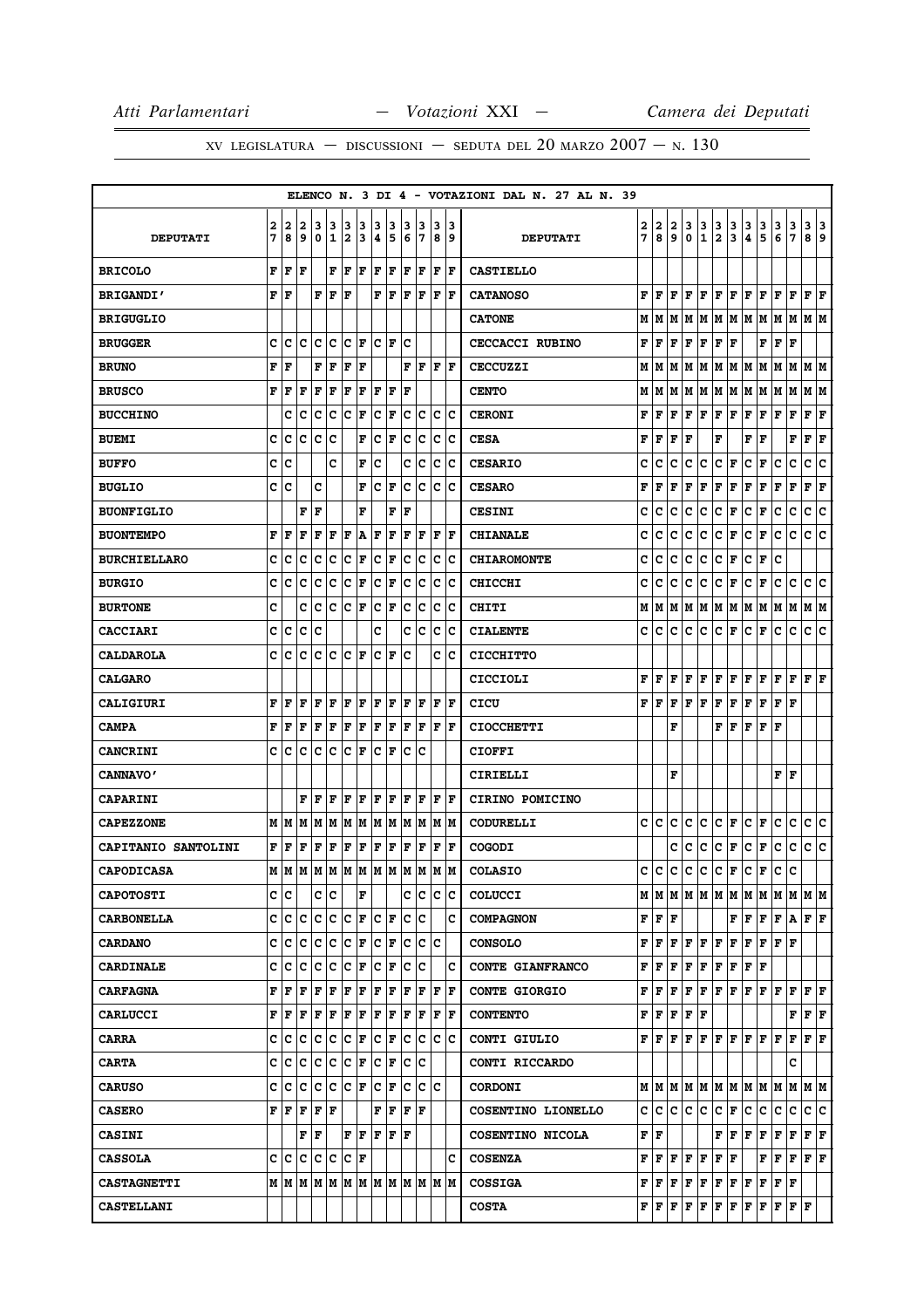|                     |     |       |     |                 |     |                      |     |     |                                              |     |                               |     |                      |      | ELENCO N. 3 DI 4 - VOTAZIONI DAL N. 27 AL N. 39 |               |                                                                                        |                         |                |               |                      |                      |                                                                                                                         |               |               |                                       |                                                                           |             |
|---------------------|-----|-------|-----|-----------------|-----|----------------------|-----|-----|----------------------------------------------|-----|-------------------------------|-----|----------------------|------|-------------------------------------------------|---------------|----------------------------------------------------------------------------------------|-------------------------|----------------|---------------|----------------------|----------------------|-------------------------------------------------------------------------------------------------------------------------|---------------|---------------|---------------------------------------|---------------------------------------------------------------------------|-------------|
|                     | 2   | 2     | 2   | 3               | 3   | 3                    | 3   | 3   | 3                                            | з   | 3                             | 3   | 13                   |      |                                                 |               | 2                                                                                      | 2                       | 3              |               |                      |                      |                                                                                                                         |               |               |                                       |                                                                           |             |
| <b>DEPUTATI</b>     | 7   | 8     | و ا | 0               | 11  | 12                   | 13  | 4   | 5                                            | 6   | 17                            |     | 89                   |      | <b>DEPUTATI</b>                                 | $\frac{2}{7}$ | 8                                                                                      | 9                       | 0              | $\frac{3}{1}$ | $\frac{3}{2}$        | $\frac{3}{3}$        | $\frac{3}{4}$                                                                                                           | $\frac{3}{5}$ | $\frac{3}{6}$ | $\begin{array}{c} 3 \\ 7 \end{array}$ | $\begin{array}{ c c } \hline 3 & 3 \\ \hline 8 & 9 \\ \hline \end{array}$ |             |
| <b>BRICOLO</b>      | F   | F     | F   |                 | F   | F                    | F   | ΙF  | F                                            | F   | F                             | l F | ١F                   |      | <b>CASTIELLO</b>                                |               |                                                                                        |                         |                |               |                      |                      |                                                                                                                         |               |               |                                       |                                                                           |             |
| <b>BRIGANDI'</b>    | F F |       |     | F               | F   | ١F                   |     | F   | F                                            | lF. | F                             |     | F  F                 |      | <b>CATANOSO</b>                                 | F             | F                                                                                      | F                       | F              | F             | F                    | F                    | F                                                                                                                       | F             | F             | F                                     | F                                                                         | F           |
| <b>BRIGUGLIO</b>    |     |       |     |                 |     |                      |     |     |                                              |     |                               |     |                      |      | <b>CATONE</b>                                   | М             | М                                                                                      | M                       | М              | M             | М                    | M                    | M                                                                                                                       | M             | M             | М                                     | M  M                                                                      |             |
| <b>BRUGGER</b>      | c   | c     | c   | c               | c   | lc.                  | F   |     | $ {\bf C}  {\bf F} $                         | Ιc  |                               |     |                      |      | <b>CECCACCI RUBINO</b>                          | F             | F                                                                                      | F                       | F              | F             | $\mathbf F$          | F                    |                                                                                                                         | F             | F             | $\mathbf F$                           |                                                                           |             |
| <b>BRUNO</b>        | F   | F     |     | F               | F   | F                    | F   |     |                                              | F   | F                             |     | F  F                 |      | <b>CECCUZZI</b>                                 | M             | М                                                                                      | M                       | М              | M             | $\mathbf M$          | M                    | M                                                                                                                       | lм            | M             | M                                     | M M                                                                       |             |
| <b>BRUSCO</b>       | F   | F     | F   | F               | l F | F                    | F   | ΙF  | F                                            | l F |                               |     |                      |      | <b>CENTO</b>                                    | М             | M                                                                                      | M                       | M              | M             | M                    | M                    | M                                                                                                                       | M             | M             | M                                     | M M                                                                       |             |
| <b>BUCCHINO</b>     |     | c     | c   | Iс              | Iс  | Ιc                   | F   | c   | F                                            | c   | Iс                            | c   | Ιc                   |      | <b>CERONI</b>                                   | F             | F                                                                                      | F                       | $\mathbf F$    | F             | F                    | F                    | F                                                                                                                       | F             | F             | $\mathbf F$                           | F                                                                         | F           |
| <b>BUEMI</b>        | c   | c     | c   | Iс              | c   |                      | F   | c   | F                                            | c   | lc.                           | lc. | Ιc                   |      | <b>CESA</b>                                     | F             | F                                                                                      | F                       | F              |               | F                    |                      | F                                                                                                                       | F             |               | F                                     | F                                                                         | F           |
| <b>BUFFO</b>        | с   | C     |     |                 | c   |                      | F   | c   |                                              | c   | c                             | lc. | Ιc                   |      | <b>CESARIO</b>                                  | c             | c                                                                                      | c                       | c              | c             | c                    | F                    | c                                                                                                                       | F             | c             | c                                     | c                                                                         | c           |
| <b>BUGLIO</b>       | c   | Iс    |     | c               |     |                      | F   | c   | F                                            | c   | c                             | c   | Ιc                   |      | <b>CESARO</b>                                   | F             | F                                                                                      | F                       | F              | F             | F                    | F                    | F                                                                                                                       | F             | F             | F                                     | F                                                                         | $\mathbf F$ |
| <b>BUONFIGLIO</b>   |     |       | F   | F               |     |                      | F   |     | F                                            | l F |                               |     |                      |      | <b>CESINI</b>                                   | c             | C                                                                                      | C                       | C              | c             | $\mathbf{C}$         | F                    | c                                                                                                                       | $\mathbf F$   | c             | $\mathbf C$                           | c                                                                         | c           |
| <b>BUONTEMPO</b>    | F   | F     | F   | F               | F   | l F                  | Α   | l F | F                                            | l F | F                             | ΙF  | ١F                   |      | <b>CHIANALE</b>                                 | C             | c                                                                                      | C                       | c              | C             | $\mathbf{C}$         | F                    | c                                                                                                                       | F             | c             | $\mathbf C$                           | c.                                                                        | c           |
| <b>BURCHIELLARO</b> | C   | c     | c   | c               | C   | c                    | F   | c   | F                                            | c   | Ιc                            | Iс  | Ιc                   |      | <b>CHIAROMONTE</b>                              | c             | C                                                                                      | c                       | c              | c             | c                    | F                    | c                                                                                                                       | F             | c             |                                       |                                                                           |             |
| <b>BURGIO</b>       | c   | c     | lc. | c               | c   | c                    | F   | c   | F                                            | c   | c                             | c   | Ιc                   |      | <b>CHICCHI</b>                                  | c             | c                                                                                      | c                       | c              | c             | c                    | F                    | c                                                                                                                       | F             | c             | $\mathbf{C}$                          | c c                                                                       |             |
| <b>BURTONE</b>      | C   |       | c   | c               | c   | lc.                  | F   | c   | F                                            | c   | Iс                            | lc. | Ιc                   |      | CHITI                                           | М             | М                                                                                      | M                       | М              | M             | M                    | M                    | M                                                                                                                       | М             | M             | M                                     | M                                                                         | M           |
| <b>CACCIARI</b>     | c   | c     | lc. | Iс              |     |                      |     | c   |                                              |     | c  c                          |     | $ {\bf c}\> {\bf c}$ |      | <b>CIALENTE</b>                                 | c             | с                                                                                      | c                       | c              | lC.           | c                    | F                    | c                                                                                                                       | F             | c             | $\mathbf C$                           | lc.                                                                       | lc.         |
| <b>CALDAROLA</b>    | c   | c     | c   | c               | c   | c                    | lF. | c   | F                                            | c   |                               | c   | Ιc                   |      | <b>CICCHITTO</b>                                |               |                                                                                        |                         |                |               |                      |                      |                                                                                                                         |               |               |                                       |                                                                           |             |
| <b>CALGARO</b>      |     |       |     |                 |     |                      |     |     |                                              |     |                               |     |                      |      | CICCIOLI                                        | F             | F                                                                                      | F                       | $\mathbf F$    | F             | $\mathbf F$          | F                    | F                                                                                                                       | F             | F             | F                                     | $\bf{F}$ $\bf{F}$                                                         |             |
| CALIGIURI           | F   | F     | F   | F               | l F | F                    | F   | F   | F                                            | l F | F                             | F   | lF                   |      | CICU                                            | F             | F                                                                                      | F                       | F              | F             | F                    | F                    | F                                                                                                                       | F             | F             | F                                     |                                                                           |             |
| <b>CAMPA</b>        | F   | F     | l F | F               | F   | F                    | F   | F   | F                                            | ΙF  | F                             | F   | ١F                   |      | <b>CIOCCHETTI</b>                               |               |                                                                                        | F                       |                |               | F                    | F                    | F                                                                                                                       | F             | F             |                                       |                                                                           |             |
| <b>CANCRINI</b>     | c   | Iс    | c   | c               | c   | c                    | F   | lc. | F                                            | lc  | Ιc                            |     |                      |      | <b>CIOFFI</b>                                   |               |                                                                                        |                         |                |               |                      |                      |                                                                                                                         |               |               |                                       |                                                                           |             |
| <b>CANNAVO'</b>     |     |       |     |                 |     |                      |     |     |                                              |     |                               |     |                      |      | CIRIELLI                                        |               |                                                                                        | F                       |                |               |                      |                      |                                                                                                                         |               | F             | F                                     |                                                                           |             |
| <b>CAPARINI</b>     |     |       | F   | F               | F   | F                    | F   |     | F F                                          | F   | F                             |     | $ {\bf F}  {\bf F} $ |      | CIRINO POMICINO                                 |               |                                                                                        |                         |                |               |                      |                      |                                                                                                                         |               |               |                                       |                                                                           |             |
| <b>CAPEZZONE</b>    | M   | M     | M   | M               | M   | M                    | M   | M   | M                                            | M   | M                             |     | M  M                 |      | CODURELLI                                       | c             | c                                                                                      | c                       | c              | c             | c                    | F                    | c                                                                                                                       | F             | c             | $\mathbf C$                           | c.                                                                        | c           |
| CAPITANIO SANTOLINI | F   | F     | F   | F               | F   | F                    | F   | F   | F                                            | F   | F                             | F   | F                    |      | <b>COGODI</b>                                   |               |                                                                                        | c                       | C              | с             | $\mathbf c$          | F                    | c                                                                                                                       | F             | c             | $\mathbf C$                           | c                                                                         | c           |
| <b>CAPODICASA</b>   | M   | lм    |     |                 |     |                      |     |     |                                              |     | IM IM IM IM IM IM IM IM IM IM |     |                      |      | <b>COLASIO</b>                                  | c             | c                                                                                      | $\overline{\mathsf{c}}$ | $\overline{c}$ | lc.           | $\mathbf c$          | F                    | lc.                                                                                                                     | F             | c             | $\mathbf c$                           |                                                                           |             |
| <b>CAPOTOSTI</b>    |     | c c   |     |                 | c c |                      | F   |     |                                              |     | C C C C                       |     |                      |      | <b>COLUCCI</b>                                  |               |                                                                                        |                         |                |               | MMMMMMMMM            |                      |                                                                                                                         | M M           |               | MMM                                   |                                                                           |             |
| <b>CARBONELLA</b>   |     | c c c |     |                 |     |                      |     |     |                                              |     | C C C F C F C C               |     | lc.                  |      | <b>COMPAGNON</b>                                |               | ${\bf F} \,   \, {\bf F} \,   \, {\bf F}$                                              |                         |                |               |                      |                      | $\mathbf{F}   \mathbf{F}$                                                                                               | lF.           | F             | A                                     | F F                                                                       |             |
| <b>CARDANO</b>      |     | c  c  | lc. | Iс              | ١c  | lc.                  | F   |     | $ {\bf C}  {\bf F} $                         |     | c c c                         |     |                      |      | <b>CONSOLO</b>                                  | F             | lF.                                                                                    | F                       | F              | F             | F                    | F                    | F                                                                                                                       | F             | F             | F                                     |                                                                           |             |
| <b>CARDINALE</b>    |     | c c   | lc. | c               | c   | $ {\bf C}  {\bf F} $ |     |     | $ {\bf C}  {\bf F} $                         |     | c c                           |     |                      | lc I | CONTE GIANFRANCO                                | F             | F                                                                                      |                         | F F            |               | F F                  |                      | $ {\bf F}  {\bf F} $ ${\bf F}$                                                                                          |               |               |                                       |                                                                           |             |
| <b>CARFAGNA</b>     | F   | F     | l F | F               | F   | F                    | F   | F   | F                                            | ΙF  | F                             | lF. | ١F                   |      | <b>CONTE GIORGIO</b>                            |               | F F.                                                                                   | F                       | F              | F             | F                    | F                    | F                                                                                                                       | F F           |               | F                                     | FF                                                                        |             |
| <b>CARLUCCI</b>     | F   | F     | F   | F               | F   | F                    | F   | F   | F                                            |     | F F                           |     | $ {\bf F}  {\bf F} $ |      | <b>CONTENTO</b>                                 |               | F F F F F                                                                              |                         |                |               |                      |                      |                                                                                                                         |               |               |                                       | F F F                                                                     |             |
| <b>CARRA</b>        |     | c  c  | lc. | c c             |     | $ {\tt C} \;  $ F    |     |     | $ {\bf C}  {\bf F} $                         |     | C C C C                       |     |                      |      | CONTI GIULIO                                    |               |                                                                                        |                         |                |               |                      |                      | ${\bf F}\, \,{\bf F}\, \,{\bf F}\, \,{\bf F}\, \,{\bf F}\, \,{\bf F}\, \,{\bf F}\, \,{\bf F}\, \,{\bf F}\, \,{\bf F}\,$ |               |               | $\mathbf F$                           | F F                                                                       |             |
| <b>CARTA</b>        |     | c c   | lc. | Ιc              | ∣c  | C F                  |     |     | $ {\bf C}  {\bf F} $                         |     | C C                           |     |                      |      | CONTI RICCARDO                                  |               |                                                                                        |                         |                |               |                      |                      |                                                                                                                         |               |               | c                                     |                                                                           |             |
| <b>CARUSO</b>       |     |       |     | C C C C C F C F |     |                      |     |     |                                              |     | C C C                         |     |                      |      | <b>CORDONI</b>                                  |               |                                                                                        |                         |                |               |                      |                      | M   M   M   M   M   M   M   M   M   M                                                                                   |               |               | M   M   M                             |                                                                           |             |
| <b>CASERO</b>       |     | FF    | F   | F F             |     |                      |     |     | F F                                          |     | F  F                          |     |                      |      | COSENTINO LIONELLO                              |               | c c                                                                                    |                         | c c            | IC.           | c                    | F                    | c                                                                                                                       | с             | с             | с                                     | c c                                                                       |             |
| <b>CASINI</b>       |     |       | F F |                 |     |                      |     |     | $\bf{F}$ $\bf{F}$ $\bf{F}$ $\bf{F}$ $\bf{F}$ |     |                               |     |                      |      | COSENTINO NICOLA                                |               | ${\bf F} \parallel {\bf F}$                                                            |                         |                |               | F                    | F F                  |                                                                                                                         | Г             | F             | F                                     | F F                                                                       |             |
| <b>CASSOLA</b>      | c   | Iс    | lc. | с               | c   | $ {\bf C}  {\bf F} $ |     |     |                                              |     |                               |     | c                    |      | <b>COSENZA</b>                                  |               | F F F                                                                                  |                         | F              | F             | $ {\bf F}  {\bf F} $ |                      |                                                                                                                         | F             | F             | $\mathbf F$                           | F F                                                                       |             |
| <b>CASTAGNETTI</b>  |     |       |     |                 |     |                      |     |     |                                              |     |                               |     |                      |      | <b>COSSIGA</b>                                  |               | $\mathbf{F} \mid \mathbf{F} \mid \mathbf{F} \mid \mathbf{F}$                           |                         |                | F F           |                      | $ {\bf F}  {\bf F} $ |                                                                                                                         |               | F F F         |                                       |                                                                           |             |
| <b>CASTELLANI</b>   |     |       |     |                 |     |                      |     |     |                                              |     |                               |     |                      |      | <b>COSTA</b>                                    |               | $\mathbf{F} \left  \mathbf{F} \right  \mathbf{F} \left  \mathbf{F} \right  \mathbf{F}$ |                         |                |               | F F                  |                      |                                                                                                                         |               |               | F F F F F                             |                                                                           |             |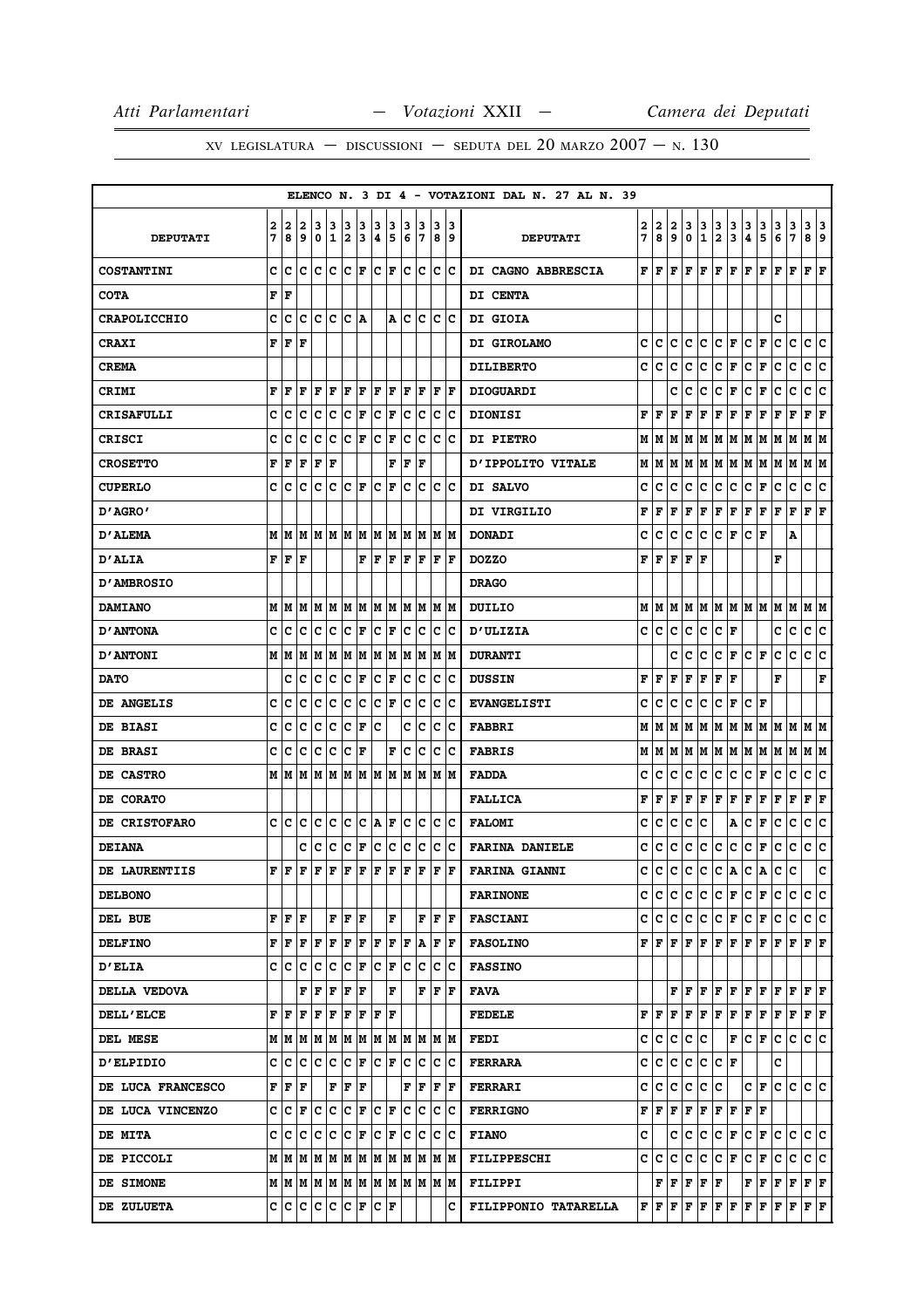|                          |        |                                       |          |                                 |        |        |               |                      |                |        |                                         |                         |                    | ELENCO N. 3 DI 4 - VOTAZIONI DAL N. 27 AL N. 39 |        |                                         |        |              |                                   |                           |                          |                    |                                                                                                                                                                                                                                                                                                                                                                                                           |               |               |                           |             |
|--------------------------|--------|---------------------------------------|----------|---------------------------------|--------|--------|---------------|----------------------|----------------|--------|-----------------------------------------|-------------------------|--------------------|-------------------------------------------------|--------|-----------------------------------------|--------|--------------|-----------------------------------|---------------------------|--------------------------|--------------------|-----------------------------------------------------------------------------------------------------------------------------------------------------------------------------------------------------------------------------------------------------------------------------------------------------------------------------------------------------------------------------------------------------------|---------------|---------------|---------------------------|-------------|
| <b>DEPUTATI</b>          | 2<br>7 | 2<br>8                                | 2<br>و ا | 3<br>0                          | 3<br>1 | 3<br>2 | 3<br>13       | з<br>14              | 3<br>15        | з<br>6 | 3<br>17                                 | з                       | 13<br>89           | <b>DEPUTATI</b>                                 | 2<br>7 | $\overline{\mathbf{2}}$<br>8            | 2<br>9 | 3<br>0       | $\frac{3}{1}$                     | $\frac{3}{2}$             | $\frac{3}{3}$            | $\frac{3}{4}$      | $\frac{3}{5}$                                                                                                                                                                                                                                                                                                                                                                                             | $\frac{3}{6}$ | $\frac{3}{7}$ | 3<br>8 9                  | 3           |
| <b>COSTANTINI</b>        | c      | lc                                    | ١c       | ١c                              | lc     | lc     | ١F            | IC IF                |                |        | lc Ic                                   |                         | c c                | DI CAGNO ABBRESCIA                              | F      | F                                       | F      | F            | F                                 | F                         | F                        | F                  | F                                                                                                                                                                                                                                                                                                                                                                                                         | F             | F             | F                         | l F         |
| <b>COTA</b>              |        | f   F                                 |          |                                 |        |        |               |                      |                |        |                                         |                         |                    | DI CENTA                                        |        |                                         |        |              |                                   |                           |                          |                    |                                                                                                                                                                                                                                                                                                                                                                                                           |               |               |                           |             |
| <b>CRAPOLICCHIO</b>      | c      | c                                     | c        | с                               | Ιc     | Ιc     | ١A            |                      | A              | Iс     | Iс                                      | IC.                     | Ιc                 | <b>DI GIOIA</b>                                 |        |                                         |        |              |                                   |                           |                          |                    |                                                                                                                                                                                                                                                                                                                                                                                                           | c             |               |                           |             |
| <b>CRAXI</b>             | F      | F                                     | l F      |                                 |        |        |               |                      |                |        |                                         |                         |                    | DI GIROLAMO                                     | c      | c                                       | c      | c            | c                                 |                           | C F                      | $ {\tt C} $ F      |                                                                                                                                                                                                                                                                                                                                                                                                           | c             | c             | c c                       |             |
| <b>CREMA</b>             |        |                                       |          |                                 |        |        |               |                      |                |        |                                         |                         |                    | <b>DILIBERTO</b>                                | C      | c                                       | C      | c            | c                                 | C F                       |                          | C F                |                                                                                                                                                                                                                                                                                                                                                                                                           | c             | c             | c c                       |             |
| CRIMI                    | F      | F                                     | ΙF       | F                               | F      | F      | F             | F                    | F              | F      | F                                       | F                       | ١F                 | <b>DIOGUARDI</b>                                |        |                                         | c      | c            | с                                 | с                         | F                        | c                  | F                                                                                                                                                                                                                                                                                                                                                                                                         | с             | c             | c                         | c           |
| <b>CRISAFULLI</b>        | c      | ١c                                    | Ιc       | Ιc                              | Ιc     | c      | F             | $ {\bf C}  {\bf F} $ |                | Iс     | Iс                                      |                         | $ {\bf C} {\bf C}$ | <b>DIONISI</b>                                  | F      | F                                       | F      | F            | F                                 | F                         | F                        | F                  | Г                                                                                                                                                                                                                                                                                                                                                                                                         | F             | F             | ${\bf F}$ ${\bf F}$       |             |
| <b>CRISCI</b>            | c      | с                                     | c        | c                               | Ιc     | Ιc     | lF.           | Ιc                   | F              | lc     | Ιc                                      | Iс                      | ΙC                 | <b>DI PIETRO</b>                                | М      | M                                       | м      | M            | M                                 |                           | M   M                    |                    | M M                                                                                                                                                                                                                                                                                                                                                                                                       | M             | M             | M M                       |             |
| <b>CROSETTO</b>          | F      | F                                     | F        | F                               | F      |        |               |                      | F              | F      | lF                                      |                         |                    | D'IPPOLITO VITALE                               | М      | М                                       | М      | М            | M                                 | М                         | M                        | Μ                  | M                                                                                                                                                                                                                                                                                                                                                                                                         | Μ             | M             | MM                        |             |
| <b>CUPERLO</b>           | c      | с                                     | c        | c                               | c      | Ιc     | lF.           | Ιc                   | lF.            | Iс     | Iс                                      | Iс                      | Ιc                 | DI SALVO                                        | c      | c                                       | с      | c            | с                                 | с                         | c                        | с                  | F                                                                                                                                                                                                                                                                                                                                                                                                         | c             | c             | с                         | c           |
| D'AGRO'                  |        |                                       |          |                                 |        |        |               |                      |                |        |                                         |                         |                    | DI VIRGILIO                                     | F      | F                                       | F      | F            | F                                 |                           | $\mathbf{F} \mathbf{F} $ | F F                |                                                                                                                                                                                                                                                                                                                                                                                                           | F             | F             | ${\bf F} \mid {\bf F}$    |             |
| <b>D'ALEMA</b>           | M      | lм                                    |          | MMMMMM                          |        |        |               |                      | IM IM IM IM IM |        |                                         |                         |                    | <b>DONADI</b>                                   | c      | c                                       | c      | c            | c                                 | C F                       |                          | $ c _F$            |                                                                                                                                                                                                                                                                                                                                                                                                           |               | Α             |                           |             |
| <b>D'ALIA</b>            |        | FF                                    | F        |                                 |        |        | F             | F                    | F              | F      | F                                       |                         | F  F               | <b>DOZZO</b>                                    | F      | F                                       | F      | F            | F                                 |                           |                          |                    |                                                                                                                                                                                                                                                                                                                                                                                                           | F             |               |                           |             |
| <b>D'AMBROSIO</b>        |        |                                       |          |                                 |        |        |               |                      |                |        |                                         |                         |                    | <b>DRAGO</b>                                    |        |                                         |        |              |                                   |                           |                          |                    |                                                                                                                                                                                                                                                                                                                                                                                                           |               |               |                           |             |
| <b>DAMIANO</b>           |        | MM                                    | M        | MM                              |        |        |               |                      | M  M  M  M     |        | M  M  M  M                              |                         |                    | DUILIO                                          | М      | м                                       | м      | м            | М                                 |                           |                          |                    | M   M   M   M   M                                                                                                                                                                                                                                                                                                                                                                                         |               | м             | MM                        |             |
| <b>D'ANTONA</b>          | c      | ΙC                                    |          |                                 |        |        |               | $ {\bf C}  {\bf F} $ |                |        | c c                                     |                         | c c                | <b>D'ULIZIA</b>                                 | c      | c                                       | с      | с            | с                                 | C F                       |                          |                    |                                                                                                                                                                                                                                                                                                                                                                                                           | с             | с             | c c                       |             |
| <b>D'ANTONI</b>          |        | MM                                    | M        | lм                              | lм     | M      | M             |                      | M M            | lм     | M                                       |                         | M  M               | <b>DURANTI</b>                                  |        |                                         | c      | c            | с                                 | c                         | Г                        | $ {\tt C} \,  $ F  |                                                                                                                                                                                                                                                                                                                                                                                                           | с             | c             | c                         | ∣c          |
| <b>DATO</b>              |        | c                                     | c        | c                               | c      | c      | F             | c                    | F              | c      | ∣c                                      | c                       | c                  | <b>DUSSIN</b>                                   | F      | F                                       | F      | F            | F                                 | $\mathbf{F}   \mathbf{F}$ |                          |                    |                                                                                                                                                                                                                                                                                                                                                                                                           | F             |               |                           | F           |
| DE ANGELIS               | c      | Ιc                                    | c        | Iс                              | Ιc     | c      | Iс            | $ {\bf C}  {\bf F} $ |                | Ιc     | Ιc                                      | ΙC                      | ΙC                 | <b>EVANGELISTI</b>                              | c      | c                                       | c      | c            | c                                 | c                         | F                        | c                  | F                                                                                                                                                                                                                                                                                                                                                                                                         |               |               |                           |             |
| DE BIASI                 | c      | Ιc                                    | c        | Iс                              | Ιc     | Ιc     | F             | Ιc                   |                | c      | Iс                                      | Iс                      | Ιc                 | <b>FABBRI</b>                                   |        | MIM                                     | M      | M            |                                   |                           |                          |                    | M  M  M  M  M  M  M  M  M                                                                                                                                                                                                                                                                                                                                                                                 |               |               |                           |             |
| <b>DE BRASI</b>          | c      | c                                     | lc       | ١c                              | ∣c     | c      | ١F            |                      | F              | lc.    | ∣c                                      |                         | c c                | <b>FABRIS</b>                                   | М      | M                                       | М      |              |                                   |                           |                          |                    | M  M  M  M  M  M  M  M  M  M                                                                                                                                                                                                                                                                                                                                                                              |               |               |                           |             |
| <b>DE CASTRO</b>         |        | M   M                                 |          | M  M  M  M  M  M  M  M  M  M  M |        |        |               |                      |                |        |                                         |                         |                    | <b>FADDA</b>                                    | c      | c                                       | с      | с            | c                                 | c                         | lc.                      | c                  | F                                                                                                                                                                                                                                                                                                                                                                                                         | c             | c             | c                         | ١c          |
| <b>DE CORATO</b>         |        |                                       |          |                                 |        |        |               |                      |                |        |                                         |                         |                    | <b>FALLICA</b>                                  | F      | F                                       | F      | F            | F                                 | ${\bf F} \,   \, {\bf F}$ |                          | F                  | F                                                                                                                                                                                                                                                                                                                                                                                                         | F             | F             | ${\bf F} \,   \, {\bf F}$ |             |
| <b>DE CRISTOFARO</b>     | c      | ١c                                    | Ιc       | Iс                              | Ιc     | c      | Iс            | A F                  |                |        | c c                                     |                         | c c                | <b>FALOMI</b>                                   | с      | c                                       | с      | с            | с                                 |                           | Α                        | c                  | F                                                                                                                                                                                                                                                                                                                                                                                                         | с             | с             | c                         | c           |
| <b>DEIANA</b>            |        |                                       | c        | lc.                             | ∣c     | c      | F             | c c                  |                |        | c c                                     |                         | c c                | <b>FARINA DANIELE</b>                           | c      | c                                       | c      | c            | c                                 | c.                        | ∣c∶                      | $ c _{\mathbf{F}}$ |                                                                                                                                                                                                                                                                                                                                                                                                           | c             | c             | c c                       |             |
| DE LAURENTIIS            | F      | F                                     | IF.      | F   F   F   F   F   F   F       |        |        |               |                      |                |        |                                         | F                       | F                  | <b>FARINA GIANNI</b>                            | c      | c                                       | c      | $\mathbf{c}$ | lc.                               |                           | c A                      |                    | C A                                                                                                                                                                                                                                                                                                                                                                                                       | c             | lc.           |                           | $\mathbf c$ |
| <b>DELBONO</b>           |        |                                       |          |                                 |        |        |               |                      |                |        |                                         |                         |                    | <b>FARINONE</b>                                 |        | c Ic                                    | c      | C            |                                   |                           | C C F C F                |                    |                                                                                                                                                                                                                                                                                                                                                                                                           | IC.           | c             | lc Ic                     |             |
| DEL BUE                  |        | F F F                                 |          |                                 |        |        | $\bf  F F F $ |                      | F              |        |                                         | $\bf F$ $\bf F$ $\bf F$ |                    | <b>FASCIANI</b>                                 |        |                                         |        |              |                                   |                           |                          |                    | C  C C  C C  F C  F C  C C  C                                                                                                                                                                                                                                                                                                                                                                             |               |               |                           |             |
| <b>DELFINO</b>           |        | FF                                    | F F      |                                 | ١F     | F      | F             | F F                  |                | F      | A                                       |                         | F  F               | <b>FASOLINO</b>                                 |        | ${\tt F}$ ${\tt F}$ ${\tt F}$ ${\tt I}$ |        |              |                                   |                           |                          |                    |                                                                                                                                                                                                                                                                                                                                                                                                           |               |               |                           |             |
| <b>D'ELIA</b>            |        | c c c c c                             |          |                                 |        |        |               |                      | C F C F C C    |        |                                         |                         | $ {\bf C} {\bf C}$ | <b>FASSINO</b>                                  |        |                                         |        |              |                                   |                           |                          |                    |                                                                                                                                                                                                                                                                                                                                                                                                           |               |               |                           |             |
| <b>DELLA VEDOVA</b>      |        |                                       | F        | lF.                             | F      | F F    |               |                      | F              |        | F                                       | lF.                     | ١F                 | <b>FAVA</b>                                     |        |                                         |        |              |                                   |                           |                          |                    | ${\bf F}\, \, {\bf F}\, \, {\bf F}\, \, {\bf F}\, \, {\bf F}\, \, {\bf F}\, \, {\bf F}\, \, {\bf F}\, \, {\bf F}\, \, {\bf F}\, \, {\bf F}\, \,$                                                                                                                                                                                                                                                          |               |               |                           |             |
| <b>DELL'ELCE</b>         |        | ${\bf F}$ $\bf   \bf F$ $\bf   \bf F$ |          | F                               | ΙF     | F      | F             | F  F                 |                |        |                                         |                         |                    | <b>FEDELE</b>                                   |        |                                         |        |              |                                   |                           |                          |                    | ${\bf F} \,   \, {\bf F} \,   \, {\bf F} \,   \, {\bf F} \,   \, {\bf F} \,   \, {\bf F} \,   \, {\bf F} \,   \, {\bf F} \,   \, {\bf F} \,   \, {\bf F} \,   \, {\bf F} \,   \, {\bf F} \,   \, {\bf F} \,   \, {\bf F} \,   \, {\bf F} \,   \, {\bf F} \,   \, {\bf F} \,   \, {\bf F} \,   \, {\bf F} \,   \, {\bf F} \,   \, {\bf F} \,   \, {\bf F} \,   \, {\bf F} \,   \, {\bf F} \,   \, {\bf F}$ |               |               |                           |             |
| DEL MESE                 |        |                                       |          |                                 |        |        |               |                      |                |        |                                         |                         |                    | <b>FEDI</b>                                     |        | C C                                     | c      |              | c c                               |                           |                          |                    | F C F                                                                                                                                                                                                                                                                                                                                                                                                     |               | C C C C       |                           |             |
| <b>D'ELPIDIO</b>         |        | C  C  C  C  C  C  F  C  F  C  C  C  C |          |                                 |        |        |               |                      |                |        |                                         |                         |                    | FERRARA                                         | c l    | c                                       | c      | c            |                                   | $ C C $ $\mathbf{F}$      |                          |                    |                                                                                                                                                                                                                                                                                                                                                                                                           | c             |               |                           |             |
| <b>DE LUCA FRANCESCO</b> |        | ${\bf F}$ $\bf F$ $\bf F$ .           |          |                                 | F F F  |        |               |                      |                |        | $ {\bf F}  {\bf F}  {\bf F}$ $ {\bf F}$ |                         |                    | <b>FERRARI</b>                                  |        | C C C                                   |        |              | $ {\tt c}\, {\tt c}\, {\tt c}\, $ |                           |                          |                    | C F                                                                                                                                                                                                                                                                                                                                                                                                       |               | c c c c       |                           |             |
| DE LUCA VINCENZO         |        | C C F C C F C F C F C C               |          |                                 |        |        |               |                      |                |        |                                         |                         | c c                | <b>FERRIGNO</b>                                 |        | $_{\rm F F }$                           | F      | F            | F                                 |                           | F F                      | F F                |                                                                                                                                                                                                                                                                                                                                                                                                           |               |               |                           |             |
| <b>DE MITA</b>           |        | C C C C C F C F C C C                 |          |                                 |        |        |               |                      |                |        |                                         |                         | c c                | <b>FIANO</b>                                    | c      |                                         | c      | c.           | c                                 |                           | C F                      |                    | $ c _F  c c c c$                                                                                                                                                                                                                                                                                                                                                                                          |               |               |                           |             |
| DE PICCOLI               |        |                                       |          |                                 |        |        |               |                      |                |        |                                         |                         |                    | <b>FILIPPESCHI</b>                              |        | c c                                     | c      | c            | c.                                |                           | C F                      |                    | $ c _F  c c c c$                                                                                                                                                                                                                                                                                                                                                                                          |               |               |                           |             |
| <b>DE SIMONE</b>         |        |                                       |          |                                 |        |        |               |                      |                |        |                                         |                         |                    | <b>FILIPPI</b>                                  |        |                                         |        |              | F F F F F                         |                           |                          |                    | F F F F F F                                                                                                                                                                                                                                                                                                                                                                                               |               |               |                           |             |
| <b>DE ZULUETA</b>        |        | C C C C C F C F                       |          |                                 |        |        |               |                      |                |        |                                         |                         | c                  | FILIPPONIO TATARELLA                            |        |                                         |        |              |                                   |                           |                          |                    | $\mathbf{F} \,   \, \mathbf{F} \,   \, \mathbf{F} \,   \, \mathbf{F} \,   \, \mathbf{F} \,   \, \mathbf{F} \,   \, \mathbf{F} \,   \, \mathbf{F} \,   \, \mathbf{F} \,   \, \mathbf{F} \,   \, \mathbf{F} \,   \, \mathbf{F} \,   \, \mathbf{F} \,   \, \mathbf{F} \,   \, \mathbf{F} \,   \, \mathbf{F} \,   \, \mathbf{F} \,   \, \mathbf{F} \,   \, \mathbf{F} \,   \, \mathbf{F} \,   \,$             |               |               |                           |             |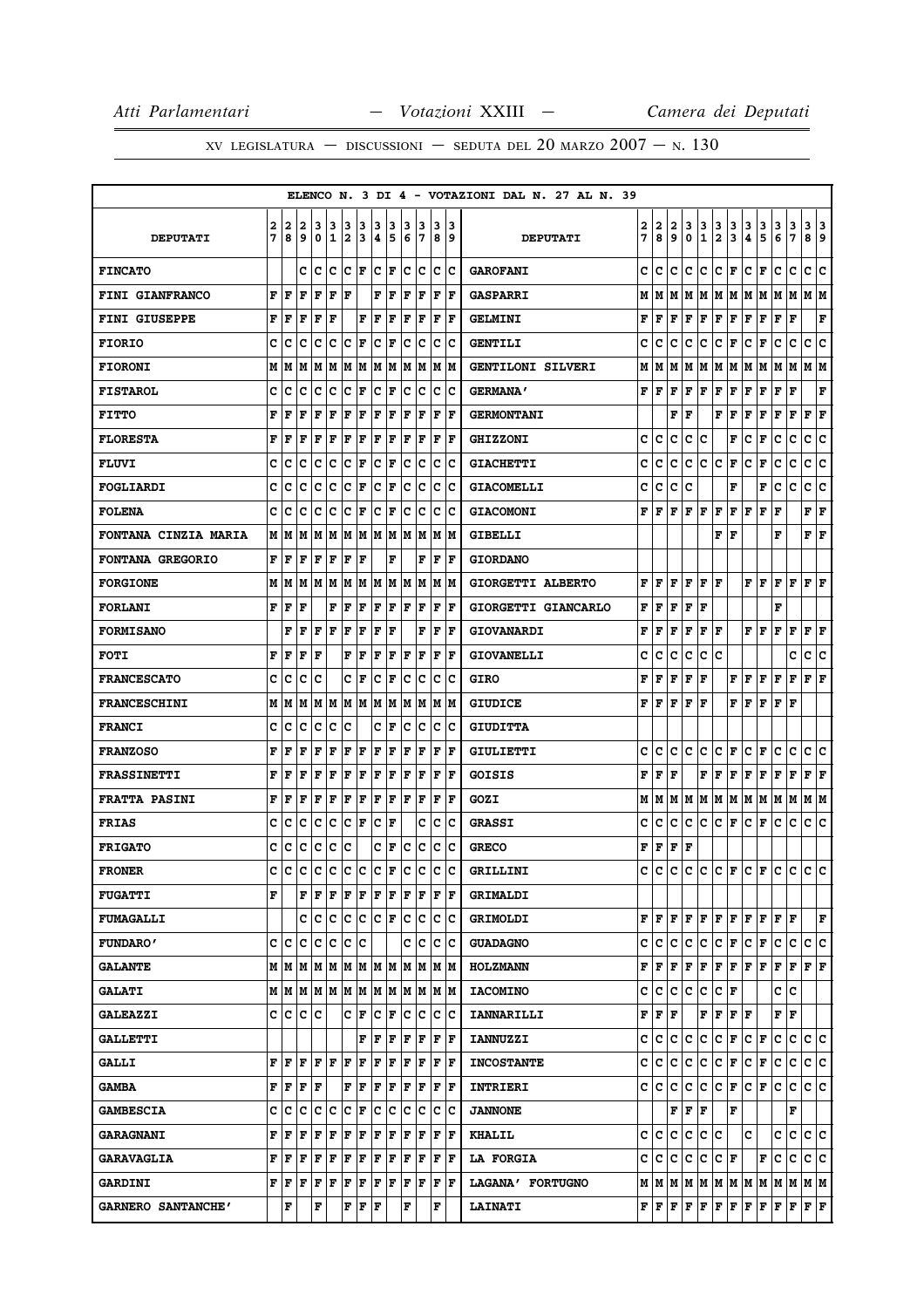|                        |   |             |                      |                   |              |     |                      |     |       |     |     |   |             | ELENCO N. 3 DI 4 - VOTAZIONI DAL N. 27 AL N. 39 |   |                                                                                 |      |       |             |                      |                           |                       |               |   |                               |                        |     |
|------------------------|---|-------------|----------------------|-------------------|--------------|-----|----------------------|-----|-------|-----|-----|---|-------------|-------------------------------------------------|---|---------------------------------------------------------------------------------|------|-------|-------------|----------------------|---------------------------|-----------------------|---------------|---|-------------------------------|------------------------|-----|
|                        | 2 | 2           | 2                    | з                 | 3            | 3   | з                    | з   | з     | 3   | з   | з | 13          |                                                 | 2 | 2                                                                               | 2    | 3     | 3           | 3                    |                           | 3                     |               | 3 |                               | 3                      | 3   |
| <b>DEPUTATI</b>        | 7 | 8           | 9                    | 0                 | $\mathbf{1}$ | 2   | 3                    | 4   | 5     | 6   | 17  | 8 | و ا         | <b>DEPUTATI</b>                                 | 7 | 8                                                                               | 9    | 0     | $\mathbf 1$ | $\overline{2}$       | $\frac{3}{3}$             | 4                     | $\frac{3}{5}$ | 6 | 3<br>7                        | 8                      | 9   |
| <b>FINCATO</b>         |   |             | c                    | Iс                | Ιc           | Ιc  | lF.                  | c   | lF    | c   | lc  | c | Ιc          | <b>GAROFANI</b>                                 | c | c                                                                               | c    | c     | c           | C                    | F                         | c                     | l F           | c | c                             | c                      | ١c  |
| <b>FINI GIANFRANCO</b> | F | F           | F                    | F                 | $\mathbf F$  | l F |                      | F   | F     | F   | F   | F | lF.         | <b>GASPARRI</b>                                 |   | $M$   $M$   $M$   $M$   $M$   $M$   $M$   $M$   $M$   $M$                       |      |       |             |                      |                           |                       |               |   |                               | M M                    |     |
| <b>FINI GIUSEPPE</b>   | F | F           | F                    | F                 | F            |     | F                    | l F | F     | l F | ΙF  | F | ΙF          | <b>GELMINI</b>                                  | F | ١F                                                                              | F    | l F   | F           | F                    | F                         | F                     | l F           | F | F                             |                        | F   |
| <b>FIORIO</b>          | c | c           | c                    | c                 | c            | c   | F                    | c   | F     | c   | Ιc  | c | Ιc          | <b>GENTILI</b>                                  | c | c                                                                               | с    | c     | с           | c                    | F                         | с                     | F             | c | c                             | c                      | c   |
| <b>FIORONI</b>         | M | М           | M                    | М                 | M            | M   | M                    | lм  | M     | lм  | lм  | M | M           | <b>GENTILONI SILVERI</b>                        | М | м                                                                               | М    | м     | M           | MM                   |                           | М                     | M             | М | M                             | м                      | lМ  |
| <b>FISTAROL</b>        | C | c           | C                    | c                 | C            | c   | F                    | c   | F     | c   | Ιc  | c | Ιc          | <b>GERMANA'</b>                                 | F | lF.                                                                             | l F  | l F   | F           | F                    | F                         | F                     | F             | F | F                             |                        | F   |
| <b>FITTO</b>           | F | F           | F                    | F                 | F            | F   | F                    | l F | F     | ΙF  | F   | F | l F         | <b>GERMONTANI</b>                               |   |                                                                                 | F    | l F   |             | F                    | F                         | F                     | F             | F | F                             | F                      | F   |
| <b>FLORESTA</b>        | F | F           | F                    | F                 | F            | F   | F                    | ΙF  | F     | l F | F   | F | l F         | <b>GHIZZONI</b>                                 | c | c                                                                               | c    | c     | c           |                      | F                         | c                     | F             | c | c                             | c                      | c   |
| <b>FLUVI</b>           | c | с           | c                    | с                 | c            | c   | F                    | c   | F     | c   | Iс  | c | Ιc          | <b>GIACHETTI</b>                                | c | c                                                                               | c    | c     | C           | c                    | F                         | c                     | F             | c | c                             | c                      | c   |
| FOGLIARDI              | c | c           | c                    | c                 | c            | с   | F                    | c   | F     | c   | c   | с | Iс          | <b>GIACOMELLI</b>                               | c | c                                                                               | с    | c     |             |                      | F                         |                       | F             | c | c                             | c                      | c   |
| <b>FOLENA</b>          | c | c           | c                    | c                 | c            | c   | F                    | c   | F     | c   | Ιc  | c | Ιc          | <b>GIACOMONI</b>                                | F | l F                                                                             | F    | F     | F           | F                    | F                         | lF.                   | F             | F |                               | ${\bf F} \mid {\bf F}$ |     |
| FONTANA CINZIA MARIA   | М | M           | М                    | М                 | M            | M   | M                    | lм  | M     | lм  | lм  | M | lм          | <b>GIBELLI</b>                                  |   |                                                                                 |      |       |             | F                    | l F                       |                       |               | F |                               | F                      | F   |
| FONTANA GREGORIO       | F | l F         | l F                  | F                 | F            | F   | F                    |     | F     |     | F   | F | lF          | <b>GIORDANO</b>                                 |   |                                                                                 |      |       |             |                      |                           |                       |               |   |                               |                        |     |
| <b>FORGIONE</b>        | M | lМ          | M                    | M                 | M            | lМ  | M                    | lм  | lм    | lм  | M   | M | lм          | GIORGETTI ALBERTO                               | F | l F                                                                             | F    | lF.   | F           | ١F                   |                           | F F                   |               | F | l F                           | $\bf{F}$ $\bf{F}$      |     |
| <b>FORLANI</b>         | F | F           | F                    |                   | F            | F   | F                    | F   | F     | l F | F   | F | l F         | GIORGETTI GIANCARLO                             | F | l F                                                                             | F    | F     | F           |                      |                           |                       |               | F |                               |                        |     |
| <b>FORMISANO</b>       |   | F           | l F                  | F                 | l F          | F   | F                    | ΙF  | F     |     | F   | F | lF.         | <b>GIOVANARDI</b>                               | F | ١F                                                                              | F    | l F   | F   F       |                      |                           | FF                    |               | F | $\mathbf{F}$                  | $\bf{F}$ $\bf{F}$      |     |
| <b>FOTI</b>            | F | F           | F                    | F                 |              | F   | F                    | F   | F     | ΙF  | F   | F | F           | <b>GIOVANELLI</b>                               | c | c                                                                               | c    | c     | с           | c                    |                           |                       |               |   | c                             | с                      | c   |
| <b>FRANCESCATO</b>     | c | c           | c                    | c                 |              | c   | F                    | c   | F     | c   | Ιc  | c | lc          | <b>GIRO</b>                                     | F | l F                                                                             | F    | l F   | F           |                      | F                         | F                     | F             | F | F                             | $\bf{F}$ $\bf{F}$      |     |
| <b>FRANCESCHINI</b>    | M | M           | M                    | M                 | M            | M   | lм                   | M   | lм    | M   | M   | M | lм          | <b>GIUDICE</b>                                  | F | ΙF                                                                              | F    | l F   | ΙF          |                      | F                         | F                     | F             | F | l F                           |                        |     |
| <b>FRANCI</b>          | c | c           | c                    | c                 | c            | c   |                      | c   | F     | c   | Ιc  | c | Ιc          | <b>GIUDITTA</b>                                 |   |                                                                                 |      |       |             |                      |                           |                       |               |   |                               |                        |     |
| <b>FRANZOSO</b>        | F | F           | F                    | F                 | F            | F   | F                    | ΙF  | F     | ΙF  | F   | F | lF.         | <b>GIULIETTI</b>                                | c | c                                                                               | Iс   | c     | c           | c                    | F                         | с                     | l F           | с | c                             | c c                    |     |
| <b>FRASSINETTI</b>     | F | F           | F                    | F                 | F            | F   | F                    | F   | F     | F   | F   | F | l F         | GOISIS                                          | F | l F                                                                             | F    |       | F           | F                    | ΙF                        | F                     | F             | F | F                             | F                      | F   |
| <b>FRATTA PASINI</b>   | F | F           | l F                  | F                 | F            | F   | F                    | F   | F     | lF. | F   | F | lF.         | GOZI                                            |   | M   M                                                                           |      |       |             |                      | M  M  M  M  M  M  M  M  M |                       |               |   |                               | M M                    |     |
| <b>FRIAS</b>           | c | c           | c                    | c                 | c            | c   | F                    | c   | F     |     | c   | с | Ιc          | <b>GRASSI</b>                                   | c | c                                                                               | c    | c     | с           | с                    | F                         | c                     | F             | c | c                             | с                      | c   |
| <b>FRIGATO</b>         | c | c           | c                    | c                 | C            | c   |                      | c   | F     | c   | c   | c | Ιc          | <b>GRECO</b>                                    | F | F                                                                               | F  F |       |             |                      |                           |                       |               |   |                               |                        |     |
| <b>FRONER</b>          | C | C           | C                    | c                 | C            | c   | C                    | lc. | F     | lc  | c   | c | lc.         | GRILLINI                                        | c | lc.                                                                             |      |       |             |                      |                           |                       |               |   | $ c c c c _F c _F c c c c c $ |                        |     |
| <b>FUGATTI</b>         | F |             | F                    | F                 | F            | F   | F                    | F   | F     | F   | l F | F | ١F          | <b>GRIMALDI</b>                                 |   |                                                                                 |      |       |             |                      |                           |                       |               |   |                               |                        |     |
| <b>FUMAGALLI</b>       |   |             | c                    | Ιc                | c            | c c |                      | C F |       |     | c c |   | lc Ic       | <b>GRIMOLDI</b>                                 |   | ${\bf F}$ $\bf [F]$ ${\bf F}$ $\bf [F]$ ${\bf F}$ $\bf [F]$ ${\bf F}$ $\bf [F]$ |      |       |             |                      |                           |                       |               | F | lF.                           |                        | F   |
| <b>FUNDARO'</b>        |   | c  c        | с                    | с                 | Iс           | Ιc  | c                    |     |       | c   | Iс  | c | ١c          | <b>GUADAGNO</b>                                 |   | c c                                                                             | lc.  | lc.   | lc.         | $ {\bf C}  {\bf F} $ |                           | $ {\bf C}  {\bf F} $  |               | с | c                             | c                      | lc. |
| <b>GALANTE</b>         |   |             |                      | M   M   M   M   M |              |     |                      |     | MMMMM |     | M M |   | M  M        | <b>HOLZMANN</b>                                 | F | F                                                                               | F    | F     | F           |                      | F F F F                   |                       |               | F | F                             | $\bf{F}$ $\bf{F}$      |     |
| <b>GALATI</b>          |   | MM          | lм                   | M M               |              | M   | M                    |     | M M   | lм  | lм  |   | lm Im       | <b>IACOMINO</b>                                 | c | lc.                                                                             | c    | lc.   | c           | C F                  |                           |                       |               | c | c                             |                        |     |
| <b>GALEAZZI</b>        | c | $ {\bf c} $ | lc.                  | Ιc                |              | c   | F                    | c   | F     | с   | c   | c | $ {\bf c} $ | <b>IANNARILLI</b>                               |   | ${\bf F}$ $\bf F$ $\bf F$                                                       |      |       | F           | F                    | $ {\bf F}  {\bf F} $      |                       |               | F | $\mathbf F$                   |                        |     |
| <b>GALLETTI</b>        |   |             |                      |                   |              |     | F                    | F   | F     | F   | F   | F | F           | <b>IANNUZZI</b>                                 |   | c c                                                                             |      | c c   | c           | $ {\bf C}\, $ F $ $  |                           | $ {\bf C}  {\bf F} $  |               | с | $\mathbf c$                   | c c                    |     |
| <b>GALLI</b>           | F | ١F          | F                    | F                 | F            | F   | F                    | F   | F     | F   | F   |   | F F         | <b>INCOSTANTE</b>                               | c | IC.                                                                             | IC.  | C.    | С           | $ {\bf C}\, $ F      |                           | $ {\tt C}\> {\tt F} $ |               | с | c                             | c c                    |     |
| <b>GAMBA</b>           |   | FF          | $ {\bf F}  {\bf F} $ |                   |              | F   | F                    | F   | F     | F   | F   | F | ١F          | <b>INTRIERI</b>                                 |   | c c c                                                                           |      |       | C C C F     |                      |                           | $ {\bf C}  {\bf F} $  |               | c | c                             | c c                    |     |
| <b>GAMBESCIA</b>       | c | ΙC          | c                    | c                 | Iс           | Ιc  | F                    | Ιc  | Iс    | lc. | Iс  | c | Ιc          | <b>JANNONE</b>                                  |   |                                                                                 |      | F F F |             |                      | F                         |                       |               |   | F                             |                        |     |
| <b>GARAGNANI</b>       | F | F           | F                    | F                 | F            | F   | F                    | F   | F     | F   | F   | F | ١F          | <b>KHALIL</b>                                   |   | c c c                                                                           |      | IC.   | c c         |                      |                           | c                     |               | c | c                             | c c                    |     |
| <b>GARAVAGLIA</b>      | F | F           | F                    | F                 | F            | F   | F                    | F   | F     | F   | F   | F | F           | <b>LA FORGIA</b>                                |   | c c                                                                             | IC.  | c     | lc.         | C F                  |                           |                       | F             | с | c                             | c c                    |     |
| <b>GARDINI</b>         | F | ١F          | F                    | F                 | F            | F   | F                    | F   | ١F    | lF. | ١F  | F | ١F          | LAGANA' FORTUGNO                                |   | M   M   M   M   M   M   M   M                                                   |      |       |             |                      |                           |                       |               | M | M                             | M   M                  |     |
| GARNERO SANTANCHE'     |   | F           |                      | F                 |              | F   | $ {\bf F}  {\bf F} $ |     |       | F   |     | F |             | <b>LAINATI</b>                                  |   | ${\bf F}$ $\bf F$ $\bf F$ $\bf F$ $\bf F$                                       |      |       |             | F F                  |                           | F F                   |               | F | F                             | $ {\bf F}  {\bf F} $   |     |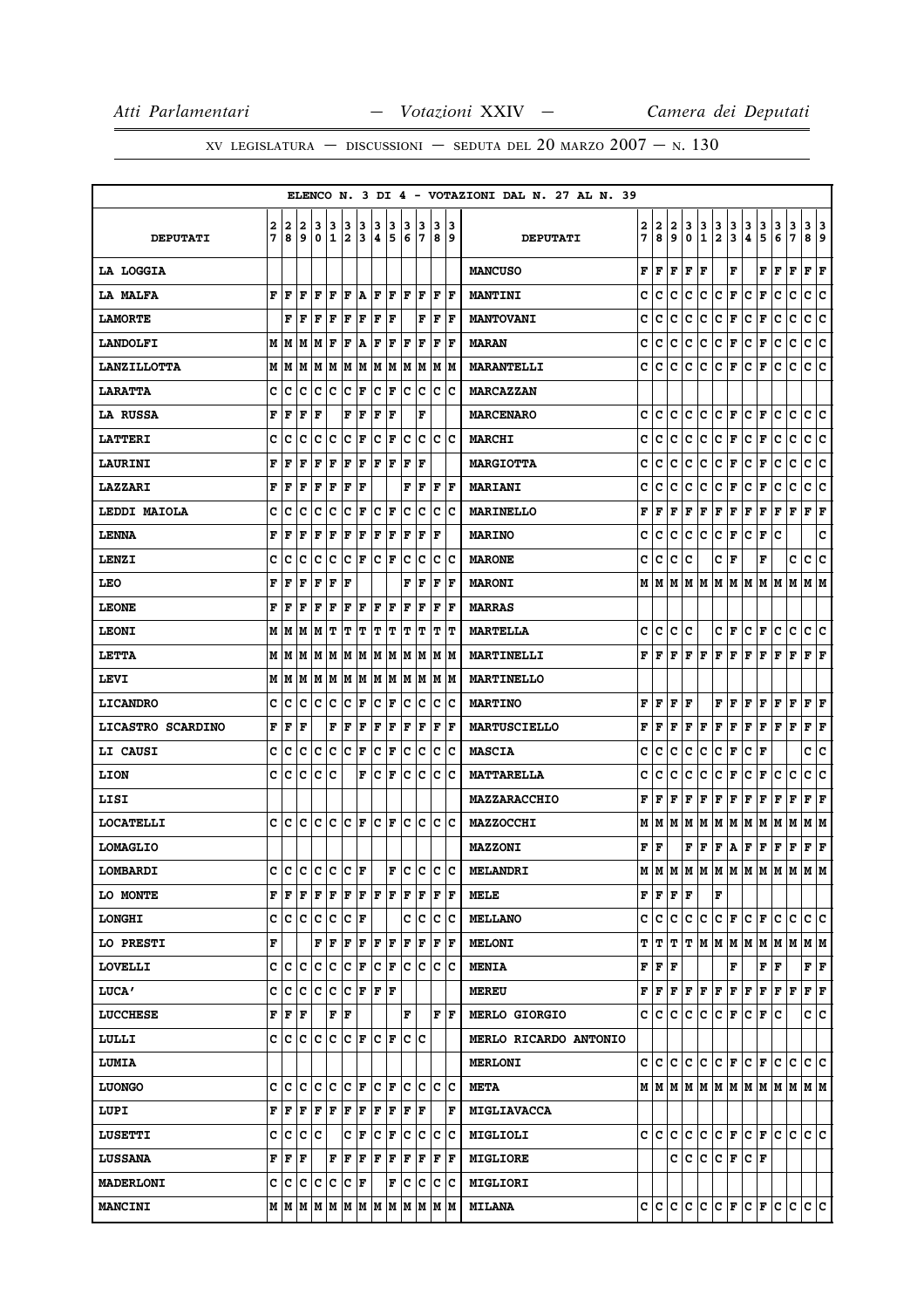# XV LEGISLATURA — DISCUSSIONI — SEDUTA DEL 20 MARZO  $2007 - N. 130$

|                     |   |          |                             |                         |     |                      |         |                      |          |        |                                                                                                                                                            |     |                      | ELENCO N. 3 DI 4 - VOTAZIONI DAL N. 27 AL N. 39 |        |                                              |          |        |         |                              |        |                       |                     |                                                                                                                                                       |                               |                      |     |
|---------------------|---|----------|-----------------------------|-------------------------|-----|----------------------|---------|----------------------|----------|--------|------------------------------------------------------------------------------------------------------------------------------------------------------------|-----|----------------------|-------------------------------------------------|--------|----------------------------------------------|----------|--------|---------|------------------------------|--------|-----------------------|---------------------|-------------------------------------------------------------------------------------------------------------------------------------------------------|-------------------------------|----------------------|-----|
| <b>DEPUTATI</b>     | 2 | 2<br>7 B | 2<br>و ا                    | 3<br> 0  1              | 13  | 3<br> 2              | 3<br>13 | 3<br>14              | 13<br>15 | 3<br>6 | 13                                                                                                                                                         | 3   | 13<br>789            | <b>DEPUTATI</b>                                 | 2<br>7 | 2<br>8                                       | 2<br>و ا | 3<br>0 | 3<br>12 | 3                            | 3<br>3 | 3<br>14.              | 3<br>5              | 3<br>6                                                                                                                                                | 3<br>7                        | 3 3<br>8             | و ا |
| <b>LA LOGGIA</b>    |   |          |                             |                         |     |                      |         |                      |          |        |                                                                                                                                                            |     |                      | <b>MANCUSO</b>                                  | F      | F                                            | F        | F      | F       |                              | F      |                       | FIF                 |                                                                                                                                                       | F                             | F                    | ΙF  |
| LA MALFA            |   | F F      | ١F                          | l F                     | ١F  |                      |         |                      |          |        | $\bf{F}$ $\bf{A}$ $\bf{F}$ $\bf{F}$ $\bf{F}$ $\bf{F}$                                                                                                      |     | IF IF                | <b>MANTINI</b>                                  | с      | c                                            | с        | Iс     | c       | $ C $ F                      |        | $ {\bf C}  {\bf F} $  |                     | c                                                                                                                                                     | c                             | c c                  |     |
| <b>LAMORTE</b>      |   | F        | F                           | lF.                     | ΙF  | lF.                  | ΙF      | l F                  | l F      |        | F                                                                                                                                                          | F   | ١F                   | <b>MANTOVANI</b>                                | c      | c                                            | c        | с      | c       | $ {\bf C}\> {\bf F} $        |        | с                     | F                   | c                                                                                                                                                     | c                             | c                    | c   |
| <b>LANDOLFI</b>     |   |          |                             | M   M   M   F           |     | F                    | ١A      | F F                  |          | lF.    | ١F                                                                                                                                                         | F   | lF                   | <b>MARAN</b>                                    | c      | с                                            | c        | Iс     | lC.     | $ C $ F                      |        | $ {\tt C}  {\tt F} $  |                     | с                                                                                                                                                     | c                             | c                    | c   |
| <b>LANZILLOTTA</b>  |   |          |                             |                         |     |                      |         |                      |          |        |                                                                                                                                                            |     |                      | <b>MARANTELLI</b>                               | c      | c                                            | IC.      |        | C C C F |                              |        | $ {\bf C}  {\bf F} $  |                     | с                                                                                                                                                     | c                             | c c                  |     |
| <b>LARATTA</b>      | c | c        | c                           | Iс                      | lc  | Ιc                   | F       | $ {\bf C}  {\bf F} $ |          | ΙC     | Iс                                                                                                                                                         |     | ic ic                | <b>MARCAZZAN</b>                                |        |                                              |          |        |         |                              |        |                       |                     |                                                                                                                                                       |                               |                      |     |
| LA RUSSA            |   | FF       | F                           | ١F                      |     | $ {\bf F}  {\bf F} $ |         | $ {\bf F} {\bf F}$   |          |        | F                                                                                                                                                          |     |                      | <b>MARCENARO</b>                                | c      |                                              |          |        |         |                              |        |                       |                     | IС                                                                                                                                                    | lc.                           | c c                  |     |
| <b>LATTERI</b>      | c | c        | c                           | c                       | Iс  | Iс                   | F       | lc.                  | F        | Iс     | Ιc                                                                                                                                                         | c   | ١c                   | <b>MARCHI</b>                                   | c      | с                                            | c        | c      | Iс      | $ {\bf C}  {\bf F} $         |        | C                     | F                   | с                                                                                                                                                     | c                             | c                    | c   |
| <b>LAURINI</b>      | F | l F      | F                           | F                       | F   | F                    | F       | l F                  | F        | ΙF     | ΙF                                                                                                                                                         |     |                      | <b>MARGIOTTA</b>                                | c      | с                                            | c        | с      | IC.     | $ {\tt C} \,  $ F            |        | $ {\tt C}\> {\tt F} $ |                     | с                                                                                                                                                     | c                             | c                    | c   |
| <b>LAZZARI</b>      | F | l F      | l F                         | ١F                      | F   | F                    | l F     |                      |          | F      | lF.                                                                                                                                                        | lF. | ١F                   | <b>MARIANI</b>                                  | c      | c                                            | c        | c      | c       | C F                          |        | c                     | F                   | c                                                                                                                                                     | c                             | c                    | c   |
| <b>LEDDI MAIOLA</b> | c | c        | c                           | lc                      | Ιc  | Iс                   | F       | $ {\bf C}  {\bf F} $ |          | Iс     | Ιc                                                                                                                                                         | Iс  | ΙC                   | <b>MARINELLO</b>                                | F      | F                                            | F        | F      | F       | F F                          |        | F                     | F                   | F                                                                                                                                                     | F                             | F                    | F   |
| <b>LENNA</b>        | F | F        | F                           | F                       | F   | F                    | F       | F F                  |          | ١F     | lF.                                                                                                                                                        | ١F  |                      | <b>MARINO</b>                                   | c      | с                                            | IC.      | IC.    | lC.     | $ {\tt C} \,  $ ${\tt F} \,$ |        | $ {\bf C}  {\bf F} $  |                     | c                                                                                                                                                     |                               |                      | C   |
| LENZI               | c | c        | lc                          | Iс                      | ١c  | lc.                  | ١F      | IC IF                |          | Ιc     | Ιc                                                                                                                                                         | Iс  | ΙC                   | <b>MARONE</b>                                   | c      | с                                            | c        | c      |         | C F                          |        |                       | F                   |                                                                                                                                                       | c                             | lc.                  | c   |
| LEO                 | F | F        | F                           | F                       | F   | F                    |         |                      |          |        | ${\bf F} \,   \, {\bf F}$                                                                                                                                  |     | $ {\bf F}  {\bf F} $ | <b>MARONI</b>                                   | м      |                                              |          |        |         |                              |        |                       |                     | M  M  M  M  M  M  M  M  M  M                                                                                                                          |                               | M  M                 |     |
| <b>LEONE</b>        | F | l F      | ΙF                          | lF                      | ΙF  | lF.                  | ΙF      | F                    | lF.      | ΙF     | l F                                                                                                                                                        | ΙF  | F                    | <b>MARRAS</b>                                   |        |                                              |          |        |         |                              |        |                       |                     |                                                                                                                                                       |                               |                      |     |
| <b>LEONI</b>        |   |          |                             | М М М Т                 |     | IТ                   | IΤ      | T T                  |          | IТ     | IΤ                                                                                                                                                         |     | T  T                 | <b>MARTELLA</b>                                 | c      | C                                            |          | c c    |         |                              |        | C F C F               |                     | с                                                                                                                                                     | c                             | c c                  |     |
| LETTA               |   |          |                             |                         |     |                      |         |                      |          |        |                                                                                                                                                            |     |                      | MARTINELLI                                      | F      | $F$ $F$ $F$ $F$                              |          |        |         |                              |        | $\bf  F F F F$        |                     | F                                                                                                                                                     | F                             | $\bf{F}$ $\bf{F}$    |     |
| LEVI                |   |          |                             |                         |     |                      |         |                      |          |        |                                                                                                                                                            |     |                      | <b>MARTINELLO</b>                               |        |                                              |          |        |         |                              |        |                       |                     |                                                                                                                                                       |                               |                      |     |
| <b>LICANDRO</b>     |   | c c      |                             | C C C F                 |     |                      |         | C F                  |          |        | c c                                                                                                                                                        | IC. | ΙC                   | <b>MARTINO</b>                                  | F      | F F F                                        |          |        |         |                              |        |                       |                     | $\bf F \, \, \bf F \, \, \bf F \, \, \bf F \, \, \bf F \, \, \bf F$                                                                                   |                               | $ {\bf F}  {\bf F} $ |     |
| LICASTRO SCARDINO   |   | FF       | l F                         |                         | F   | F                    | F       | ١F                   | F        | F      | F                                                                                                                                                          | F   | ١F                   | <b>MARTUSCIELLO</b>                             | F      | lF.                                          | lF.      | lF.    | lF.     | F F                          |        | F F                   |                     | $\bf{F}$ $\bf{F}$                                                                                                                                     |                               | $ {\bf F}  {\bf F} $ |     |
| <b>LI CAUSI</b>     |   | c  c     |                             |                         |     |                      |         | $ {\bf C}  {\bf F} $ |          |        | c  c                                                                                                                                                       |     | c c                  | <b>MASCIA</b>                                   | c      | с                                            | с        | Iс     | с       | $ {\tt C} \,  $ F            |        | $ {\bf C}  {\bf F} $  |                     |                                                                                                                                                       |                               | c  c                 |     |
| LION                | c | c        | Iс                          | c                       | Ιc  |                      | F       | Ιc                   | lF.      | Ιc     | Iс                                                                                                                                                         | Iс  | Ιc                   | <b>MATTARELLA</b>                               | c      | с                                            | c        | с      | Iс      | $ {\bf C}  {\bf F} $         |        | c                     | F                   | с                                                                                                                                                     | c                             | c                    | c   |
| LISI                |   |          |                             |                         |     |                      |         |                      |          |        |                                                                                                                                                            |     |                      | <b>MAZZARACCHIO</b>                             | F      | lF.                                          | lF.      | F      | F F F   |                              |        | F F                   |                     | F                                                                                                                                                     | F                             | F                    | ΙF  |
| <b>LOCATELLI</b>    |   |          |                             | C C C C C F             |     |                      |         | C F                  |          |        | le le le le                                                                                                                                                |     |                      | <b>MAZZOCCHI</b>                                | М      |                                              |          |        |         |                              |        |                       |                     | M  M  M  M  M  M  M  M  M  M                                                                                                                          |                               | M M                  |     |
| <b>LOMAGLIO</b>     |   |          |                             |                         |     |                      |         |                      |          |        |                                                                                                                                                            |     |                      | MAZZONI                                         |        | FIF                                          |          |        |         |                              |        |                       |                     | $\mathbf{F} \left  \mathbf{F} \right  \mathbf{F} \left  \mathbf{A} \right  \mathbf{F} \left  \mathbf{F} \right  \mathbf{F} \left  \mathbf{F} \right $ |                               | F F                  |     |
| LOMBARDI            |   |          |                             | c c c c c c F           |     |                      |         |                      |          |        |                                                                                                                                                            |     |                      | $ F C C C $ MELANDRI                            |        |                                              |          |        |         |                              |        |                       |                     |                                                                                                                                                       | м м м м м м м м м м м м       |                      |     |
| <b>LO MONTE</b>     |   |          |                             |                         |     |                      |         |                      |          |        | FFFFFFFFFFFFFFF                                                                                                                                            |     |                      | MELE                                            |        | F F F F                                      |          |        |         | F                            |        |                       |                     |                                                                                                                                                       |                               |                      |     |
| <b>LONGHI</b>       |   |          |                             | $C  C   C   C   C   F $ |     |                      |         |                      |          |        | c c c c                                                                                                                                                    |     |                      | <b>MELLANO</b>                                  |        |                                              |          |        |         |                              |        |                       |                     |                                                                                                                                                       | $C C C C C F C F C C C C C C$ |                      |     |
| LO PRESTI           | F |          |                             |                         |     |                      |         |                      |          |        | F   F   F   F   F   F   F   F   F                                                                                                                          |     |                      | <b>MELONI</b>                                   |        |                                              |          |        |         |                              |        |                       |                     |                                                                                                                                                       | T T T T M M M M M M M M M     |                      |     |
| <b>LOVELLI</b>      |   |          |                             |                         |     |                      |         |                      |          |        | C C C C C F C F C C C C C                                                                                                                                  |     |                      | <b>MENIA</b>                                    |        | $\mathbf{F} \mid \mathbf{F} \mid \mathbf{F}$ |          |        |         |                              | F      |                       | F F                 |                                                                                                                                                       |                               | F F                  |     |
| <b>LUCA'</b>        |   |          |                             | C C C C C F F F         |     |                      |         |                      |          |        |                                                                                                                                                            |     |                      | <b>MEREU</b>                                    |        |                                              |          |        |         |                              |        |                       |                     | ${\bf F}\, \, {\bf F}\, \, {\bf F}\, \, {\bf F}\, \, {\bf F}\, \, {\bf F}\, \, {\bf F}\, \, {\bf F}\, \, {\bf F}\, \, {\bf F}\, \, {\bf F}\,$         |                               | F F                  |     |
| <b>LUCCHESE</b>     |   |          | ${\bf F}$ $\bf{F}$ $\bf{F}$ |                         | F F |                      |         |                      |          | F      |                                                                                                                                                            |     | F  F                 | <b>MERLO GIORGIO</b>                            |        |                                              |          |        |         |                              |        |                       | $C C C C C F C F C$ |                                                                                                                                                       |                               | c c                  |     |
| LULLI               |   |          |                             |                         |     |                      |         |                      |          |        | C C C C C F C F C C C                                                                                                                                      |     |                      | MERLO RICARDO ANTONIO                           |        |                                              |          |        |         |                              |        |                       |                     |                                                                                                                                                       |                               |                      |     |
| <b>LUMIA</b>        |   |          |                             |                         |     |                      |         |                      |          |        |                                                                                                                                                            |     |                      | <b>MERLONI</b>                                  |        |                                              |          |        |         |                              |        |                       |                     |                                                                                                                                                       | cicicicicici FiciFicicicic    |                      |     |
| <b>LUONGO</b>       |   |          |                             |                         |     |                      |         |                      |          |        | C C C C C C F C F C C C C C                                                                                                                                |     |                      | <b>META</b>                                     |        |                                              |          |        |         |                              |        |                       |                     |                                                                                                                                                       |                               |                      |     |
| LUPI                |   |          |                             |                         |     |                      |         |                      |          |        | ${\bf F}\, \, {\bf F}\, \, {\bf F}\, \, {\bf F}\, \, {\bf F}\, \, {\bf F}\, \, {\bf F}\, \, {\bf F}\, \, {\bf F}\, \, {\bf F}\, \, {\bf F}\, \,$           |     | F                    | <b>MIGLIAVACCA</b>                              |        |                                              |          |        |         |                              |        |                       |                     |                                                                                                                                                       |                               |                      |     |
| <b>LUSETTI</b>      |   |          |                             | c c c c                 |     |                      |         |                      |          |        | $ {\boldsymbol{c}}\> _{\boldsymbol{F}}\> _{\boldsymbol{C}}\ _{\boldsymbol{F}}\ _{\boldsymbol{C}}\ _{\boldsymbol{C}}\ _{\boldsymbol{C}}\ _{\boldsymbol{C}}$ |     |                      | MIGLIOLI                                        |        |                                              |          |        |         |                              |        |                       |                     |                                                                                                                                                       | $C C C C C F C F C C C C C C$ |                      |     |
| <b>LUSSANA</b>      |   |          | ${\bf F}$ $\bf F$ $\bf F$   |                         |     |                      |         |                      |          |        | F   F   F   F   F   F   F   F                                                                                                                              |     |                      | <b>MIGLIORE</b>                                 |        |                                              |          |        |         |                              |        | C C C C F C F         |                     |                                                                                                                                                       |                               |                      |     |
| <b>MADERLONI</b>    |   |          |                             | C C C C C F             |     |                      |         |                      |          |        |                                                                                                                                                            |     |                      | <b>MIGLIORI</b>                                 |        |                                              |          |        |         |                              |        |                       |                     |                                                                                                                                                       |                               |                      |     |
| <b>MANCINI</b>      |   |          |                             |                         |     |                      |         |                      |          |        |                                                                                                                                                            |     |                      | <b>MILANA</b>                                   |        |                                              |          |        |         |                              |        |                       |                     |                                                                                                                                                       | c c c c c c F c F c c c c c   |                      |     |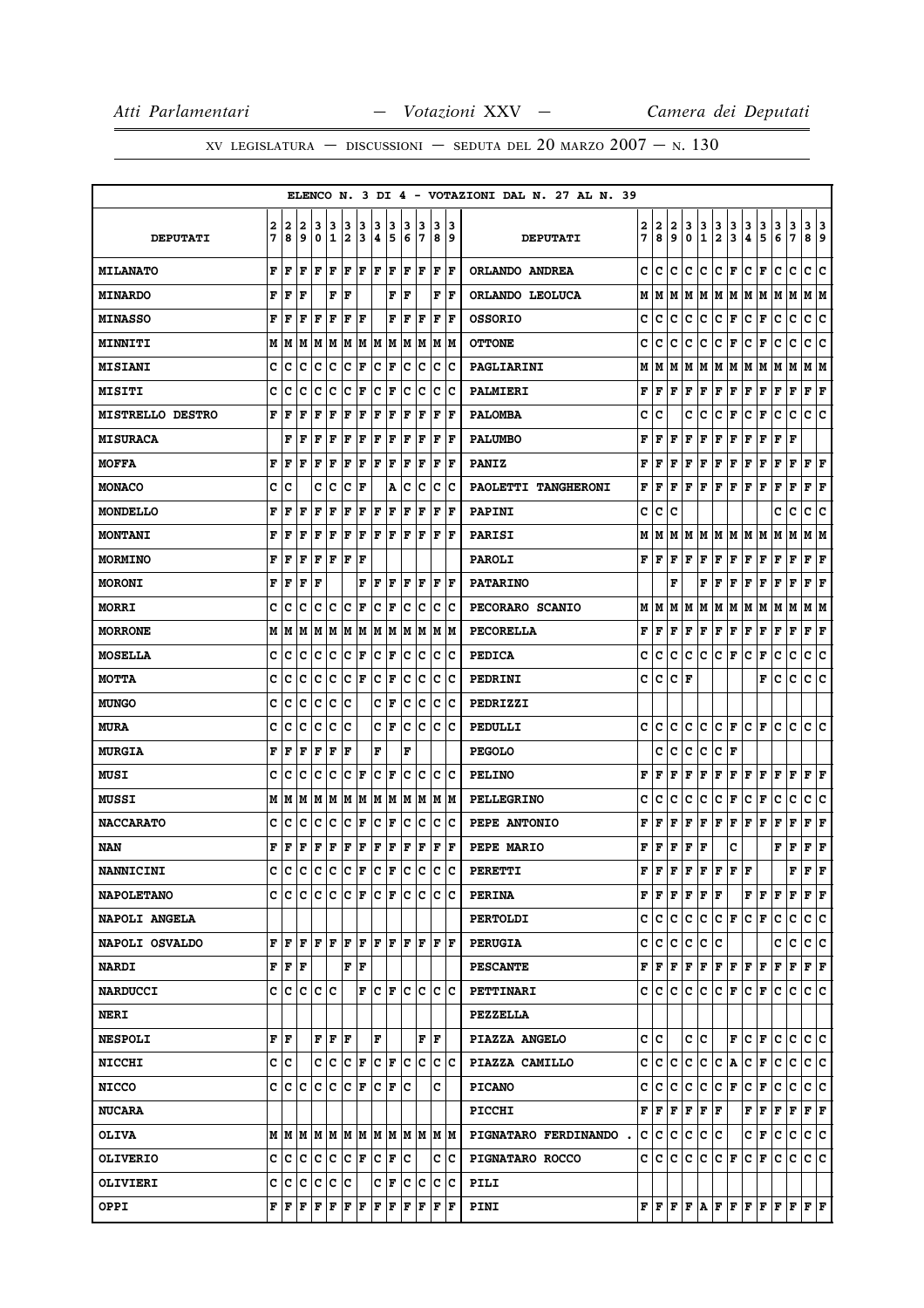|                         |   |                                           |     |                            |     |                      |                     |                      |                          |     |       |     |                         | ELENCO N. 3 DI 4 - VOTAZIONI DAL N. 27 AL N. 39 |              |             |               |             |               |                   |                                       |                      |                     |               |                                                                                                                                                                            |                           |     |
|-------------------------|---|-------------------------------------------|-----|----------------------------|-----|----------------------|---------------------|----------------------|--------------------------|-----|-------|-----|-------------------------|-------------------------------------------------|--------------|-------------|---------------|-------------|---------------|-------------------|---------------------------------------|----------------------|---------------------|---------------|----------------------------------------------------------------------------------------------------------------------------------------------------------------------------|---------------------------|-----|
|                         | 2 | 2                                         | 2   | 3                          | 3   | 3                    | 3                   | з                    | 3                        | з   | 3     | 3   | 13                      |                                                 | 2            | 2           |               | 3           |               |                   |                                       |                      |                     |               |                                                                                                                                                                            | 3                         | 3   |
| <b>DEPUTATI</b>         | 7 | 8                                         | و ا | 0                          | 1   | 2                    | 13                  | 4                    | 5                        | 6   | 17    |     | 89                      | <b>DEPUTATI</b>                                 | 7            | 8           | $\frac{2}{9}$ | 0           | $\frac{3}{1}$ | $\frac{3}{2}$     | $\frac{3}{3}$                         | $\frac{3}{4}$        | $\frac{3}{5}$       | $\frac{3}{6}$ | $\frac{3}{7}$                                                                                                                                                              | 9∣8                       |     |
| <b>MILANATO</b>         | F | F                                         | l F | F                          | ΙF  | F                    | lF.                 | F                    | lF.                      | ΙF  | F     | lF. | ١F                      | ORLANDO ANDREA                                  | c            | c           | c             | c           | c             | c                 | F                                     | c                    | F                   | c             | c                                                                                                                                                                          | c                         | c   |
| <b>MINARDO</b>          | F | F                                         | l F |                            | F   | lF                   |                     |                      | F                        | lF  |       | F   | ١F                      | ORLANDO LEOLUCA                                 | М            | M           | М             | M           |               |                   |                                       |                      | M  M  M  M  M  M  M |               |                                                                                                                                                                            | M M                       |     |
| <b>MINASSO</b>          | F | F                                         | F   | F                          | l F | F                    | F                   |                      | F                        | l F | F     | F   | F                       | <b>OSSORIO</b>                                  | c            | c           | c             | c           | с             | c                 | F                                     | c                    | F                   | с             | c                                                                                                                                                                          | с                         | c   |
| <b>MINNITI</b>          | M | lМ                                        | M   | M                          | M   |                      | MM                  |                      | M M                      |     | M   M |     | M M                     | <b>OTTONE</b>                                   | с            | c           | с             | с           | с             | с                 | F                                     | с                    | F                   | с             | с                                                                                                                                                                          | c                         | c   |
| <b>MISIANI</b>          | c | c                                         | C   | c                          | c   | c                    | F                   | c                    | F                        | lc  | lc.   | lc. | Ιc                      | PAGLIARINI                                      | М            | М           | М             | М           | М             |                   | M   M                                 | М                    | M                   | М             | M                                                                                                                                                                          | MM                        |     |
| <b>MISITI</b>           | C | c                                         | c   | c                          | c   | c                    | F                   | c                    | F                        | c   | c     | c   | Ιc                      | <b>PALMIERI</b>                                 | F            | F           | F             | F           | F             |                   | F F                                   | F                    | F                   | F             | F                                                                                                                                                                          | ${\bf F} \mid {\bf F}$    |     |
| <b>MISTRELLO DESTRO</b> | F | F                                         | F   | F                          | F   | F                    | F                   | F                    | F                        | ΙF  | F     | F   | ١F                      | <b>PALOMBA</b>                                  | c            | c           |               | c           | c             | c                 | F                                     | с                    | F                   | с             | с                                                                                                                                                                          | c                         | ١c  |
| <b>MISURACA</b>         |   | F                                         | l F | F                          | ΙF  | F                    | F                   | F                    | F                        | ΙF  | F     | F   | F                       | <b>PALUMBO</b>                                  | F            | F           | F             | F           | F             | F                 | F                                     | F                    | F                   | F             | F                                                                                                                                                                          |                           |     |
| <b>MOFFA</b>            | F | F                                         | ΙF  | F                          | F   | F                    | F                   | $ {\bf F}  {\bf F} $ |                          | F   | F     | F   | ١F                      | <b>PANIZ</b>                                    | F            | F           | F             | F           | F             | F                 | F                                     | F                    | F                   | F             | F                                                                                                                                                                          | $\mathbf{F}   \mathbf{F}$ |     |
| <b>MONACO</b>           | c | с                                         |     | c                          | c   | c                    | l F                 |                      | Α                        | c   | c     | c   | Ιc                      | PAOLETTI TANGHERONI                             | F            | F           | F             | F           | F             | F                 | F                                     | F                    | F                   | F             | F                                                                                                                                                                          | F                         | F   |
| <b>MONDELLO</b>         | F | F                                         | F   | F                          | F   | F                    | F                   | F                    | F                        | F   | F     | F   | F                       | <b>PAPINI</b>                                   | с            | с           | c             |             |               |                   |                                       |                      |                     | c             | c                                                                                                                                                                          | c                         | c   |
| <b>MONTANI</b>          | F | F                                         | F   | F                          | l F | l F                  | l F                 | F                    | lF.                      | ΙF  | F     | ΙF  | l F                     | PARISI                                          | М            | М           | М             | м           | M             |                   | M  M  M  M                            |                      |                     | Μ             | М                                                                                                                                                                          | МM                        |     |
| <b>MORMINO</b>          | F | F                                         | l F | F                          | F   | F                    | l F                 |                      |                          |     |       |     |                         | <b>PAROLI</b>                                   | F            | F           | F             | F           | F             | F                 | F                                     | F                    | F                   | F             | F                                                                                                                                                                          | ${\bf F} \mid {\bf F}$    |     |
| <b>MORONI</b>           | F | F                                         | F   | F                          |     |                      | F                   | F                    | l F                      | F   | l F   |     | $ {\bf F}  {\bf F} $    | <b>PATARINO</b>                                 |              |             | F             |             | F             | F                 | F                                     | F                    | F                   | F             | F                                                                                                                                                                          | ${\bf F}$ ${\bf F}$       |     |
| <b>MORRI</b>            | c | c                                         | c   | c                          | Iс  | Ιc                   | l F                 | c                    | lF.                      | c   | Ιc    | c   | ΙC                      | PECORARO SCANIO                                 | М            | М           | М             | м           | М             | Μ                 | M                                     | М                    | м                   | М             | м                                                                                                                                                                          | M                         | lМ  |
| <b>MORRONE</b>          | М | M                                         |     | M  M  M  M  M              |     |                      |                     |                      | M M                      |     |       |     | M  M  M  M              | <b>PECORELLA</b>                                | F            | F           | F             | F           | F             |                   | $\mathbf{F} \parallel \mathbf{F}$     | F F                  |                     | $\mathbf{F}$  | F                                                                                                                                                                          | ${\bf F} \mid {\bf F}$    |     |
| <b>MOSELLA</b>          | c | с                                         | c   | c                          | Iс  | Iс                   | F                   | c                    | F                        | c   | Iс    | c   | Ιc                      | <b>PEDICA</b>                                   | c            | c           | c             | c           | с             | c                 | F                                     | с                    | F                   | c             | c                                                                                                                                                                          | с                         | c   |
| <b>MOTTA</b>            | c | c                                         | C   | c                          | c   | c                    | F                   | c                    | F                        | c   | c     | IС  | Ιc                      | PEDRINI                                         | c            | c           | c             | F           |               |                   |                                       |                      | F                   | с             | c                                                                                                                                                                          | c                         | c   |
| <b>MUNGO</b>            | C | c                                         | c   | c                          | c   | lc                   |                     | c                    | F                        | c   | lc.   | lc. | Ιc                      | PEDRIZZI                                        |              |             |               |             |               |                   |                                       |                      |                     |               |                                                                                                                                                                            |                           |     |
| <b>MURA</b>             | c | с                                         | c   | c                          | c   | lc                   |                     |                      | CF                       | c   | Iс    | Iс  | Ιc                      | PEDULLI                                         | c            | c           | c             | с           | с             | c                 | F                                     | c                    | F                   | с             | c                                                                                                                                                                          | c                         | c   |
| <b>MURGIA</b>           | F | F                                         | ΙF  | F                          | ΙF  | F                    |                     | F                    |                          | F   |       |     |                         | <b>PEGOLO</b>                                   |              | с           | с             | с           | с             | c                 | F                                     |                      |                     |               |                                                                                                                                                                            |                           |     |
| MUSI                    | c | c                                         | c   | c                          | Ιc  | lc.                  | l F                 | c                    | lF                       | c   | Iс    | c   | Ιc                      | <b>PELINO</b>                                   | F            | F           | F             | F           | F             | F                 | F                                     | F                    | F                   | F             | F                                                                                                                                                                          | F                         | ΙF  |
| <b>MUSSI</b>            | М | M                                         | M   | MM                         |     |                      | M M                 |                      | MM                       |     |       |     | M  M  M  M              | <b>PELLEGRINO</b>                               | c            | c           | с             | с           | с             | c                 | F                                     | c                    | Г                   | с             | c                                                                                                                                                                          | c                         | ∣c  |
| <b>NACCARATO</b>        | c | с                                         | c   | c                          | Iс  | Iс                   | F                   | c                    | F                        | c   | Iс    | c   | Ιc                      | PEPE ANTONIO                                    | F            | F           | F             | F           | F             | F                 | F                                     | F                    | F                   | F             | F                                                                                                                                                                          | F                         | F   |
| NAN                     | F | F                                         | F   | F                          | F   | F                    | F                   | F                    | F                        | F   | F     | F   | F                       | PEPE MARIO                                      | F            | F           | F             | $\mathbf F$ | F             |                   | c                                     |                      |                     | F             | F                                                                                                                                                                          | F F                       |     |
| <b>NANNICINI</b>        | C | lc                                        | C   | c                          |     | c c                  | F                   | c                    | F                        | c   | lc    | C   | lc                      | <b>PERETTI</b>                                  | F            | $\mathbf F$ | F             | $\mathbf F$ | F             | F                 | $\mathbf{F}$ .                        | $\mathbf F$          |                     |               | F                                                                                                                                                                          | F                         | l F |
| <b>NAPOLETANO</b>       |   |                                           |     | C C C C C F                |     |                      |                     | IC IF                |                          |     |       |     | le le le le             | <b>PERINA</b>                                   |              | FF          | F             | F           |               | ${\bf F}$ $\bf F$ |                                       |                      | FF                  | F             | F                                                                                                                                                                          | F F                       |     |
| <b>NAPOLI ANGELA</b>    |   |                                           |     |                            |     |                      |                     |                      |                          |     |       |     |                         | <b>PERTOLDI</b>                                 | c            | C           | c             | с           | c.            |                   | C F                                   | $ {\bf C}  {\bf F} $ |                     | c             | c                                                                                                                                                                          | c c                       |     |
| <b>NAPOLI OSVALDO</b>   | F | l F                                       | l F | F                          | ΙF  | F                    | lF.                 | F                    | ١F                       | F   | l F   |     | F  F                    | <b>PERUGIA</b>                                  | c            | c           | с             | с           | с             | c                 |                                       |                      |                     | c             | с                                                                                                                                                                          | c c                       |     |
| <b>NARDI</b>            |   | ${\bf F} \,   \, {\bf F} \,   \, {\bf F}$ |     |                            |     |                      | ${\bf F}$ ${\bf F}$ |                      |                          |     |       |     |                         | <b>PESCANTE</b>                                 | F            | F           | F             |             | F F           |                   | $ {\bf F}  {\bf F}  {\bf F}  {\bf F}$ |                      |                     | F             | F                                                                                                                                                                          | F F                       |     |
| <b>NARDUCCI</b>         | c | Iс                                        | ١c  | с                          | lc  |                      | F                   | IC IF                |                          | lc. | Ιc    |     | ic ic                   | PETTINARI                                       | c            | с           | с             | c           | с             |                   | C F                                   |                      | C F                 | c             | с                                                                                                                                                                          | C C                       |     |
| <b>NERI</b>             |   |                                           |     |                            |     |                      |                     |                      |                          |     |       |     |                         | <b>PEZZELLA</b>                                 |              |             |               |             |               |                   |                                       |                      |                     |               |                                                                                                                                                                            |                           |     |
| <b>NESPOLI</b>          |   | FF                                        |     | $\bf{F}$ $\bf{F}$ $\bf{F}$ |     |                      |                     | F                    |                          |     | F     | ١F  |                         | PIAZZA ANGELO                                   | $\mathbf{c}$ | c           |               | c           | lc.           |                   |                                       |                      | F C F C             |               | lc.                                                                                                                                                                        | c c                       |     |
| <b>NICCHI</b>           |   | c  c                                      |     | c c                        |     | $ {\bf C}  {\bf F} $ |                     |                      | $ {\bf C}  {\bf F} $     |     | c c   |     | $ {\bf c} \;   {\bf c}$ | PIAZZA CAMILLO                                  | c            | c           | с             | c           | c             |                   | C A                                   |                      | C F                 | c             | c                                                                                                                                                                          | c c                       |     |
| <b>NICCO</b>            |   | C C C                                     |     | C C C F                    |     |                      |                     |                      | $ C $ $\mathbf{F}$ $ C $ |     |       | c   |                         | <b>PICANO</b>                                   | c            | с           | c             | c           | c             |                   | C F                                   |                      | C F                 | с             | c                                                                                                                                                                          | c c                       |     |
| <b>NUCARA</b>           |   |                                           |     |                            |     |                      |                     |                      |                          |     |       |     |                         | <b>PICCHI</b>                                   |              | FF          | F             | F           | F F           |                   |                                       |                      | F  F                | F F           |                                                                                                                                                                            | F F                       |     |
| <b>OLIVA</b>            |   |                                           |     |                            |     |                      |                     |                      |                          |     |       |     |                         | PIGNATARO FERDINANDO.                           | c            | c           | c             | c           | c             | с                 |                                       |                      | C F                 | с             | c                                                                                                                                                                          | c c                       |     |
| <b>OLIVERIO</b>         |   | c  c                                      | ١c  | c                          | Iс  | $ {\bf C}  {\bf F} $ |                     |                      | $ C $ $\mathbf{F} C$     |     |       |     | c  c                    | PIGNATARO ROCCO                                 | c            | с           | с             | с           | с             |                   | CF                                    |                      | C F                 | c             | с                                                                                                                                                                          | c c                       |     |
| <b>OLIVIERI</b>         | c | ∣c                                        | ∣c  | c                          | ∣c  | ∣c                   |                     |                      | C F                      |     | c c   |     | c c                     | PILI                                            |              |             |               |             |               |                   |                                       |                      |                     |               |                                                                                                                                                                            |                           |     |
| <b>OPPI</b>             |   |                                           |     |                            |     |                      |                     |                      |                          |     |       |     |                         | <b>PINI</b>                                     |              |             |               |             |               |                   |                                       |                      |                     |               | ${\bf F}\, \,{\bf F}\, \,{\bf F}\, \,{\bf F}\, \,{\bf A}\, \,{\bf F}\, \,{\bf F}\, \,{\bf F}\, \,{\bf F}\, \,{\bf F}\, \,{\bf F}\, \,{\bf F}\, \,{\bf F}\, \,{\bf F}\, \,$ |                           |     |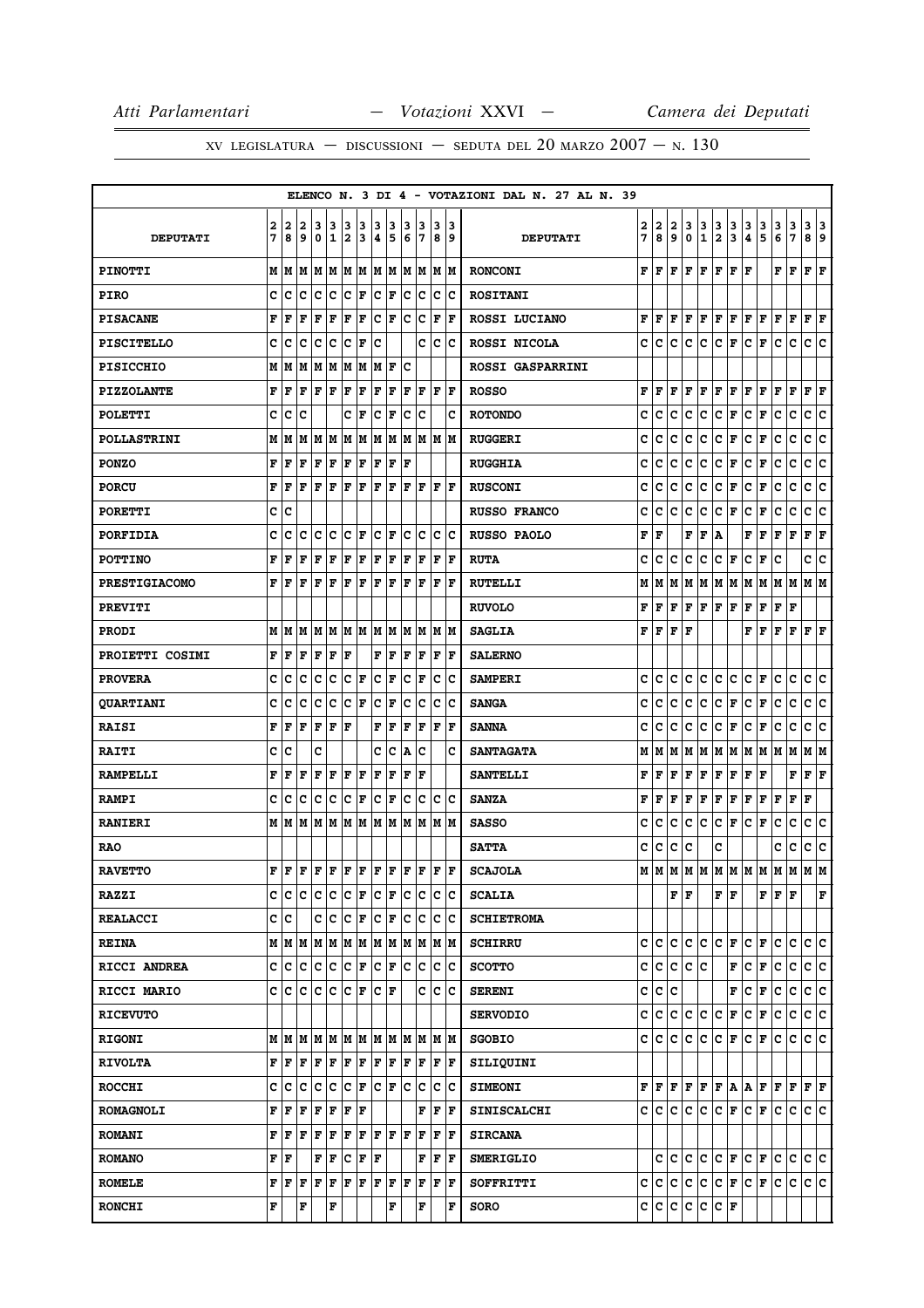# XV LEGISLATURA — DISCUSSIONI — SEDUTA DEL 20 MARZO  $2007 - N. 130$

|                      |   |                                                                                   |     |                      |       |                      |       |                      |       |     |                                                                                |     |                      | ELENCO N. 3 DI 4 - VOTAZIONI DAL N. 27 AL N. 39                                                                                                                                                                                                                                 |      |                                      |     |           |               |                         |                         |                              |                                                                                                                                                             |       |             |                           |     |
|----------------------|---|-----------------------------------------------------------------------------------|-----|----------------------|-------|----------------------|-------|----------------------|-------|-----|--------------------------------------------------------------------------------|-----|----------------------|---------------------------------------------------------------------------------------------------------------------------------------------------------------------------------------------------------------------------------------------------------------------------------|------|--------------------------------------|-----|-----------|---------------|-------------------------|-------------------------|------------------------------|-------------------------------------------------------------------------------------------------------------------------------------------------------------|-------|-------------|---------------------------|-----|
|                      | 2 | $\mathbf{2}$                                                                      | 2   | 3                    | 13    | 3                    | 3     | з                    | 3     | 3   | 13                                                                             | 3   | 3                    |                                                                                                                                                                                                                                                                                 | 2    | 2                                    | 2   | 3         | 3             | 3                       | 3                       | 3                            | 3                                                                                                                                                           | 3     | 3           | 3 3                       |     |
| <b>DEPUTATI</b>      | 7 | 8                                                                                 | و ا | ۱٥.                  | 11    | 12.                  | 13    | 4                    | 5     | 6   | 17                                                                             |     | 89                   | <b>DEPUTATI</b>                                                                                                                                                                                                                                                                 | 7    | 8                                    | و ا | 0         | $\mathbf{1}$  | $\overline{\mathbf{2}}$ | $\overline{\mathbf{3}}$ | 4                            | 5                                                                                                                                                           | 6     | 7           | 8 9                       |     |
| <b>PINOTTI</b>       |   | MM                                                                                | lМ  |                      |       |                      |       |                      |       |     | IM   M   M   M   M   M   M   M   M                                             |     |                      | <b>RONCONI</b>                                                                                                                                                                                                                                                                  | F    | lF.                                  | F   | ١F        | F             | ΙF                      | F                       | ١F                           |                                                                                                                                                             | F     | l F         | $ {\bf F}  {\bf F} $      |     |
| <b>PIRO</b>          | c | Ιc                                                                                | lc. | IC IC                |       | C F                  |       | $ {\bf C}  {\bf F} $ |       |     | c c                                                                            |     | c c                  | <b>ROSITANI</b>                                                                                                                                                                                                                                                                 |      |                                      |     |           |               |                         |                         |                              |                                                                                                                                                             |       |             |                           |     |
| <b>PISACANE</b>      | F | l F                                                                               | F   | lF.                  | l F   | F                    | F     | c                    | F     | lc. | Iс                                                                             | F   | F                    | ROSSI LUCIANO                                                                                                                                                                                                                                                                   | F    | lF.                                  | F   | lF.       | F             | F F                     |                         | F F                          |                                                                                                                                                             | F     | F           | ${\bf F} \,   \, {\bf F}$ |     |
| <b>PISCITELLO</b>    | c | c                                                                                 | lc. | lc.                  | c     | lc.                  | ΙF    | Ιc                   |       |     | C                                                                              |     | c c                  | ROSSI NICOLA                                                                                                                                                                                                                                                                    | c    | lc.                                  | c   | c         | IC.           | $ {\bf C}  {\bf F} $    |                         | lc.                          | F                                                                                                                                                           | lc.   | c           | c c                       |     |
| <b>PISICCHIO</b>     |   | MM                                                                                |     | M  M  M  M  M  H  F  |       |                      |       |                      |       | Ic  |                                                                                |     |                      | <b>ROSSI GASPARRINI</b>                                                                                                                                                                                                                                                         |      |                                      |     |           |               |                         |                         |                              |                                                                                                                                                             |       |             |                           |     |
| <b>PIZZOLANTE</b>    | F | l F                                                                               | F   | lF.                  | F     | F                    | F     | F                    | F     | F   | F                                                                              |     | F F                  | <b>ROSSO</b>                                                                                                                                                                                                                                                                    | F    | F                                    | F   | F         | F             | F                       | F                       | F F                          |                                                                                                                                                             | F     | F           | ${\bf F}$ ${\bf F}$       |     |
| <b>POLETTI</b>       | c | c                                                                                 | ١c  |                      |       | c                    | lF.   | lc.                  | F     | lc. | lc                                                                             |     | c                    | <b>ROTONDO</b>                                                                                                                                                                                                                                                                  | c    | c                                    | c   | c         | c             | c.                      | F                       | c.                           | F                                                                                                                                                           | c     | c           | c c                       |     |
| <b>POLLASTRINI</b>   | М | lМ                                                                                | M   |                      |       |                      |       |                      |       |     | M  M  M  M  M  M  M  M  M  M                                                   |     |                      | <b>RUGGERI</b>                                                                                                                                                                                                                                                                  | c    | c                                    | c   | c         | c             | c                       | F                       | c                            | F                                                                                                                                                           | c     | c           | c                         | ١c  |
| <b>PONZO</b>         | F | l F                                                                               | F   | $F$ $F$ $F$ $F$      |       |                      |       | F F                  |       | ١F  |                                                                                |     |                      | <b>RUGGHIA</b>                                                                                                                                                                                                                                                                  | c    | c                                    | c   | c         | c             | c.                      | F                       | c.                           | F                                                                                                                                                           | c     | c           | c c                       |     |
| <b>PORCU</b>         | F | lF                                                                                | ΙF  | lF.                  | ΙF    | F                    | l F   | F                    | F     | lF. | lF.                                                                            | ΙF  | ١F                   | <b>RUSCONI</b>                                                                                                                                                                                                                                                                  | c    | c                                    | c   | c         | с             | c                       | F                       | c                            | F                                                                                                                                                           | c     | c           | c                         | ∣c  |
| <b>PORETTI</b>       |   | c c                                                                               |     |                      |       |                      |       |                      |       |     |                                                                                |     |                      | <b>RUSSO FRANCO</b>                                                                                                                                                                                                                                                             | c    | c                                    | c   | c         | lc.           | C F                     |                         | c                            | F                                                                                                                                                           | lc.   | c           | c  c                      |     |
| <b>PORFIDIA</b>      | c | c                                                                                 | c   | Iс                   | Ιc    | $ {\bf C}  {\bf F} $ |       |                      | IC IF | lc. | Ιc                                                                             | c   | Ιc                   | RUSSO PAOLO                                                                                                                                                                                                                                                                     | F    | F                                    |     | F         | F             | A                       |                         | F                            | F                                                                                                                                                           | F     | F           | ${\bf F}$ ${\bf F}$       |     |
| <b>POTTINO</b>       | F | l F                                                                               | l F | lF.                  | ΙF    | F                    | lF.   | F                    | F     | F   | F                                                                              | F   | ١F                   | <b>RUTA</b>                                                                                                                                                                                                                                                                     | c    | c                                    | c   | c         | c             | c                       | F                       | c                            | F                                                                                                                                                           | c     |             | c                         | lc. |
| <b>PRESTIGIACOMO</b> |   | FF                                                                                | lF. | lF.                  | F F F |                      |       | F F                  |       | lF. | ١F                                                                             | F   | ١F                   | <b>RUTELLI</b>                                                                                                                                                                                                                                                                  | м    |                                      |     |           |               |                         |                         |                              | M  M  M  M  M  M  M  M  M  M  M  M                                                                                                                          |       |             |                           |     |
| <b>PREVITI</b>       |   |                                                                                   |     |                      |       |                      |       |                      |       |     |                                                                                |     |                      | <b>RUVOLO</b>                                                                                                                                                                                                                                                                   | F    | F                                    | F   | ΙF.       | $F$ $F$ $F$   |                         |                         | F                            | F                                                                                                                                                           | F   F |             |                           |     |
| <b>PRODI</b>         |   | M   M   M                                                                         |     | M  M  M  M  M  M     |       |                      |       |                      |       |     | M M                                                                            |     | M M                  | <b>SAGLIA</b>                                                                                                                                                                                                                                                                   |      | ${\bf F}$ $\bf{F}$ $\bf{F}$ $\bf{F}$ |     |           |               |                         |                         |                              | F F F F F F                                                                                                                                                 |       |             |                           |     |
| PROIETTI COSIMI      | F | l F                                                                               | l F | lF.                  | ΙF    | l F                  |       | F                    | F     | l F | F                                                                              | F   | ΙF                   | <b>SALERNO</b>                                                                                                                                                                                                                                                                  |      |                                      |     |           |               |                         |                         |                              |                                                                                                                                                             |       |             |                           |     |
| <b>PROVERA</b>       | c | c                                                                                 | lc  | lc                   | lc    | lc.                  | F     | lc.                  | F     | lc. | lF                                                                             | c   | lc                   | <b>SAMPERI</b>                                                                                                                                                                                                                                                                  | c    | c                                    | c   | c         | lc.           | c c                     |                         | $ {\bf c}\, $ F              |                                                                                                                                                             | lc.   | lc.         | c  c                      |     |
| <b>QUARTIANI</b>     | c | c                                                                                 | Ιc  | Iс                   | Ιc    | $ {\bf C}  {\bf F} $ |       | lc.                  | F     | lc. | Iс                                                                             | c   | Ιc                   | <b>SANGA</b>                                                                                                                                                                                                                                                                    | c    | c                                    | c   | c         | c             | c.                      | F                       | c.                           | F                                                                                                                                                           | c     | c           | c                         | lc. |
| <b>RAISI</b>         | F | F                                                                                 | ΙF  | F                    | ΙF    | l F                  |       | F                    | F     | l F | F                                                                              | l F | ΙF                   | <b>SANNA</b>                                                                                                                                                                                                                                                                    | c    | c                                    | c   | c         | c             | c                       | F                       | c                            | F                                                                                                                                                           | c     | c           | c                         | lc. |
| <b>RAITI</b>         | c | c                                                                                 |     | c                    |       |                      |       | c                    | ∣c    | A   | Ιc                                                                             |     | c                    | <b>SANTAGATA</b>                                                                                                                                                                                                                                                                | м    | M                                    | M   |           |               |                         |                         |                              | M  M  M  M  M  M  M  M                                                                                                                                      |       |             | M  M                      |     |
| <b>RAMPELLI</b>      | F | F                                                                                 | F   | F                    | F     | F                    | F     | ΙF                   | F     | F   | F                                                                              |     |                      | <b>SANTELLI</b>                                                                                                                                                                                                                                                                 | F    | F                                    | F   | F         | F             | F                       | F                       | F                            | F                                                                                                                                                           |       | F           | $ {\bf F}  {\bf F} $      |     |
| <b>RAMPI</b>         | c | c                                                                                 | Iс  | lc.                  | c     | $ {\bf C}  {\bf F} $ |       | $ {\bf C}  {\bf F} $ |       | lc. | Ιc                                                                             | c   | c                    | <b>SANZA</b>                                                                                                                                                                                                                                                                    | F    | F                                    | F   | F         | F             | F F                     |                         | F F                          |                                                                                                                                                             | F     | F           | F                         |     |
| <b>RANIERI</b>       |   | MMMM                                                                              |     |                      | M M   |                      | lм    | M M                  |       | lм  | M                                                                              |     | lm Im                | <b>SASSO</b>                                                                                                                                                                                                                                                                    | c    | с                                    | c   | c         | lc.           | c.                      | F                       | c.                           | F                                                                                                                                                           | c     | $\mathbf C$ | c c                       |     |
| <b>RAO</b>           |   |                                                                                   |     |                      |       |                      |       |                      |       |     |                                                                                |     |                      | <b>SATTA</b>                                                                                                                                                                                                                                                                    | c    | c                                    | C   | ١c        |               | c                       |                         |                              |                                                                                                                                                             | c     | c           | c c                       |     |
| <b>RAVETTO</b>       |   |                                                                                   |     |                      |       |                      |       |                      |       |     |                                                                                |     |                      | $\mathbf{F} \left  \mathbf{F} \left  \mathbf{F} \left  \mathbf{F} \left  \mathbf{F} \left  \mathbf{F} \right. \right  \mathbf{F} \left  \mathbf{F} \left  \mathbf{F} \left  \mathbf{F} \right. \right  \mathbf{F} \left  \mathbf{F} \right. \right  \mathbf{F} \right $ SCAJOLA |      |                                      |     |           |               |                         |                         |                              | м м м м м м м м м м м м                                                                                                                                     |       |             |                           |     |
| <b>RAZZI</b>         |   | cicicicicici FiciFicic                                                            |     |                      |       |                      |       |                      |       |     |                                                                                | c c |                      | <b>SCALIA</b>                                                                                                                                                                                                                                                                   |      |                                      |     | F F       |               | FF                      |                         |                              |                                                                                                                                                             | FFF   |             |                           | F   |
| <b>REALACCI</b>      |   | c c                                                                               |     |                      |       |                      |       |                      |       |     |                                                                                |     |                      | <b>SCHIETROMA</b>                                                                                                                                                                                                                                                               |      |                                      |     |           |               |                         |                         |                              |                                                                                                                                                             |       |             |                           |     |
| <b>REINA</b>         |   |                                                                                   |     |                      |       |                      |       |                      |       |     |                                                                                |     |                      | <b>SCHIRRU</b>                                                                                                                                                                                                                                                                  | c  c |                                      | c   | c         | lC.           | c                       | F                       | c                            | F                                                                                                                                                           | c     | c           | c c                       |     |
| RICCI ANDREA         |   | C  C C  C C  F C  F C  C                                                          |     |                      |       |                      |       |                      |       |     |                                                                                |     | $ {\bf c}\> {\bf c}$ | <b>SCOTTO</b>                                                                                                                                                                                                                                                                   |      |                                      |     | c c c c c |               |                         | F                       | c.                           | F                                                                                                                                                           | lc.   | c.          | c c                       |     |
| RICCI MARIO          |   | C C C C C F                                                                       |     |                      |       |                      |       | C F                  |       |     | c                                                                              | lc. | Iс                   | <b>SERENI</b>                                                                                                                                                                                                                                                                   |      | c c c                                |     |           |               |                         | F                       | ∣c∙                          | F                                                                                                                                                           | c     | lc.         | c c                       |     |
| <b>RICEVUTO</b>      |   |                                                                                   |     |                      |       |                      |       |                      |       |     |                                                                                |     |                      | <b>SERVODIO</b>                                                                                                                                                                                                                                                                 |      | c  c  c                              |     | ∣c∶       | lc.           | ∣c∙                     | F                       | c.                           | F                                                                                                                                                           | c     | С           | c c                       |     |
| <b>RIGONI</b>        |   | $M$   $M$   $M$   $M$   $M$   $M$   $M$   $M$   $M$   $M$   $M$   $M$   $M$   $M$ |     |                      |       |                      |       |                      |       |     |                                                                                |     |                      | <b>SGOBIO</b>                                                                                                                                                                                                                                                                   |      |                                      |     |           |               |                         |                         |                              | C C C C C F C F C C                                                                                                                                         |       |             | c c                       |     |
| <b>RIVOLTA</b>       |   | F   F   F   F   F   F   F   F   F   F                                             |     |                      |       |                      |       |                      |       |     |                                                                                |     | F F                  | SILIQUINI                                                                                                                                                                                                                                                                       |      |                                      |     |           |               |                         |                         |                              |                                                                                                                                                             |       |             |                           |     |
| <b>ROCCHI</b>        |   |                                                                                   |     |                      |       |                      |       |                      |       |     |                                                                                |     | c c                  | <b>SIMEONI</b>                                                                                                                                                                                                                                                                  |      |                                      |     |           |               |                         |                         |                              | ${\bf F}\, \,{\bf F}\, \,{\bf F}\, \,{\bf F}\, \,{\bf F}\, \,{\bf F}\, \,{\bf F}\, \,{\bf F}\, \,{\bf F}\, \,{\bf F}\, \,{\bf F}\, \,{\bf F}\, \,{\bf F}\,$ |       |             |                           |     |
| <b>ROMAGNOLI</b>     |   | F  F                                                                              | F   | F F                  |       | F                    | F     |                      |       |     | F                                                                              | F   | F                    | <b>SINISCALCHI</b>                                                                                                                                                                                                                                                              |      | c Ic                                 | IC. | IC.       | lC.           |                         | C F                     | $ {\tt C} \,  $ ${\tt F} \,$ |                                                                                                                                                             | IС    | с           | c c                       |     |
| <b>ROMANI</b>        |   | FFF                                                                               |     | F F                  |       |                      |       |                      |       |     | $\mathbf{F} \mathbf{F} \mathbf{F} \mathbf{F} \mathbf{F} \mathbf{F} \mathbf{F}$ |     | $ {\bf F}  {\bf F} $ | <b>SIRCANA</b>                                                                                                                                                                                                                                                                  |      |                                      |     |           |               |                         |                         |                              |                                                                                                                                                             |       |             |                           |     |
| <b>ROMANO</b>        |   | F  F                                                                              |     | $ {\bf F}  {\bf F} $ |       |                      | C F F |                      |       |     | F                                                                              | F   | F                    | <b>SMERIGLIO</b>                                                                                                                                                                                                                                                                |      |                                      |     |           |               |                         | C C C C F C F           |                              |                                                                                                                                                             | lc Ic |             | c c                       |     |
| <b>ROMELE</b>        |   | ${\bf F}$ $\bf F$ $\bf F$                                                         |     | F F                  |       | F F                  |       | $ {\bf F}  {\bf F} $ |       | F   | F                                                                              |     | $ {\bf F}  {\bf F} $ | SOFFRITTI                                                                                                                                                                                                                                                                       |      |                                      |     |           |               |                         | c c c c c c F c F       |                              |                                                                                                                                                             | lc.   | lc.         | c c                       |     |
| <b>RONCHI</b>        | F |                                                                                   | F   |                      | F     |                      |       |                      | F     |     | F                                                                              |     | F                    | SORO                                                                                                                                                                                                                                                                            |      |                                      |     |           | c c c c c c F |                         |                         |                              |                                                                                                                                                             |       |             |                           |     |